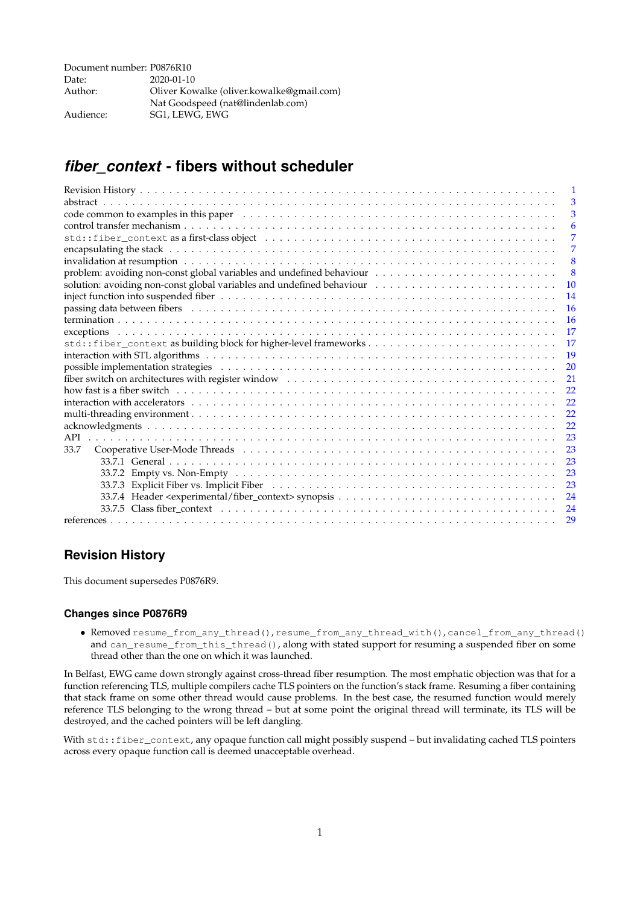| Document number: P0876R10 |                                           |
|---------------------------|-------------------------------------------|
| Date:                     | $2020 - 01 - 10$                          |
| Author:                   | Oliver Kowalke (oliver.kowalke@gmail.com) |
|                           | Nat Goodspeed (nat@lindenlab.com)         |
| Audience:                 | SG1, LEWG, EWG                            |

# <span id="page-0-0"></span>*fiber\_context* **- fibers without scheduler**

|                                                                                                                                                                                                                                | 1             |
|--------------------------------------------------------------------------------------------------------------------------------------------------------------------------------------------------------------------------------|---------------|
|                                                                                                                                                                                                                                | 3             |
| code common to examples in this paper example. The set of the set of the set of the set of the set of the set of the set of the set of the set of the set of the set of the set of the set of the set of the set of the set of | 3             |
|                                                                                                                                                                                                                                | 6             |
|                                                                                                                                                                                                                                | 7             |
|                                                                                                                                                                                                                                | 7             |
|                                                                                                                                                                                                                                | 8             |
|                                                                                                                                                                                                                                | 8             |
| solution: avoiding non-const global variables and undefined behaviour                                                                                                                                                          | <b>10</b>     |
|                                                                                                                                                                                                                                | 14            |
| passing data between fibers (and contact and contact and contact and contact and contact and contact and contact and contact and contact and contact and contact and contact and contact and contact and contact and contact a | <b>16</b>     |
|                                                                                                                                                                                                                                | 16            |
|                                                                                                                                                                                                                                | <sup>17</sup> |
| std::fiber_context as building block for higher-level frameworks                                                                                                                                                               | 17            |
|                                                                                                                                                                                                                                | 19            |
| possible implementation strategies experience in the contract of the contract of the contract of the contract of the contract of the contract of the contract of the contract of the contract of the contract of the contract  | 20            |
|                                                                                                                                                                                                                                |               |
| how fast is a fiber switch the contract of the contract of the contract of the contract of the contract of the                                                                                                                 | 22            |
|                                                                                                                                                                                                                                | 22            |
|                                                                                                                                                                                                                                | 22            |
|                                                                                                                                                                                                                                | 22            |
| API                                                                                                                                                                                                                            | 23            |
| 33.7                                                                                                                                                                                                                           | 23            |
|                                                                                                                                                                                                                                | 23            |
|                                                                                                                                                                                                                                | 23            |
|                                                                                                                                                                                                                                | 23            |
|                                                                                                                                                                                                                                | 24            |
|                                                                                                                                                                                                                                | 24            |
|                                                                                                                                                                                                                                | 29            |
|                                                                                                                                                                                                                                |               |

## **Revision History**

This document supersedes P0876R9.

#### **Changes since P0876R9**

• Removed resume\_from\_any\_thread(), resume\_from\_any\_thread\_with(), cancel\_from\_any\_thread() and can\_resume\_from\_this\_thread(), along with stated support for resuming a suspended fiber on some thread other than the one on which it was launched.

In Belfast, EWG came down strongly against cross-thread fiber resumption. The most emphatic objection was that for a function referencing TLS, multiple compilers cache TLS pointers on the function's stack frame. Resuming a fiber containing that stack frame on some other thread would cause problems. In the best case, the resumed function would merely reference TLS belonging to the wrong thread – but at some point the original thread will terminate, its TLS will be destroyed, and the cached pointers will be left dangling.

With std::fiber\_context, any opaque function call might possibly suspend – but invalidating cached TLS pointers across every opaque function call is deemed unacceptable overhead.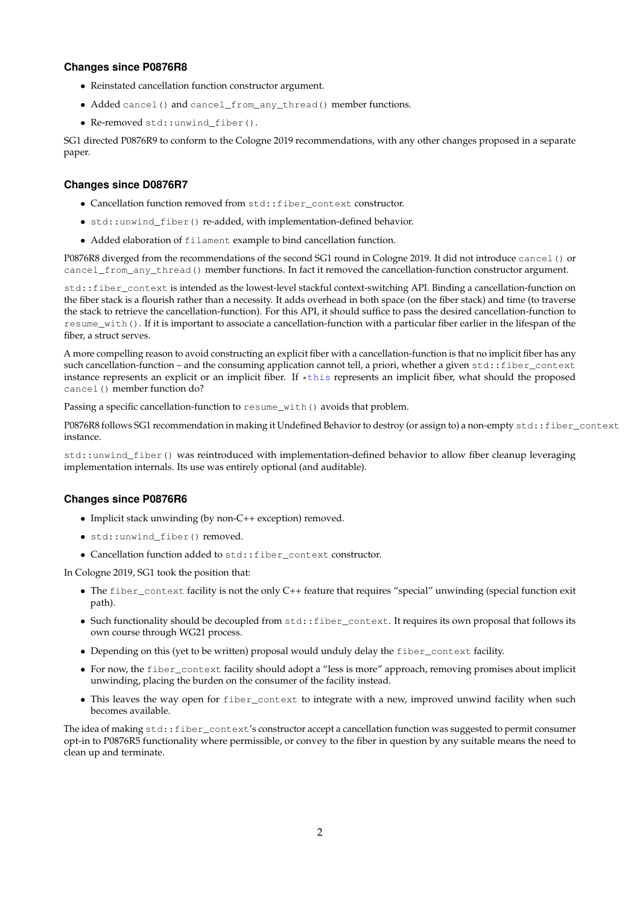### **Changes since P0876R8**

- Reinstated cancellation function constructor argument.
- Added cancel() and cancel\_from\_any\_thread() member functions.
- Re-removed std::unwind\_fiber().

SG1 directed P0876R9 to conform to the Cologne 2019 recommendations, with any other changes proposed in a separate paper.

#### **Changes since D0876R7**

- Cancellation function removed from std::fiber\_context constructor.
- std::unwind\_fiber() re-added, with implementation-defined behavior.
- Added elaboration of filament example to bind cancellation function.

P0876R8 diverged from the recommendations of the second SG1 round in Cologne 2019. It did not introduce cancel() or cancel\_from\_any\_thread() member functions. In fact it removed the cancellation-function constructor argument.

std::fiber\_context is intended as the lowest-level stackful context-switching API. Binding a cancellation-function on the fiber stack is a flourish rather than a necessity. It adds overhead in both space (on the fiber stack) and time (to traverse the stack to retrieve the cancellation-function). For this API, it should suffice to pass the desired cancellation-function to resume\_with(). If it is important to associate a cancellation-function with a particular fiber earlier in the lifespan of the fiber, a struct serves.

A more compelling reason to avoid constructing an explicit fiber with a cancellation-function is that no implicit fiber has any such cancellation-function – and the consuming application cannot tell, a priori, whether a given std::fiber\_context instance represents an explicit or an implicit fiber. If  $\star$ this represents an implicit fiber, what should the proposed cancel() member function do?

Passing a specific cancellation-function to resume\_with() avoids that problem.

P0876R8 follows SG1 recommendation in making it Undefined Behavior to destroy (or assign to) a non-empty std::fiber\_context instance.

std::unwind\_fiber() was reintroduced with implementation-defined behavior to allow fiber cleanup leveraging implementation internals. Its use was entirely optional (and auditable).

#### **Changes since P0876R6**

- Implicit stack unwinding (by non-C++ exception) removed.
- std::unwind\_fiber() removed.
- Cancellation function added to std::fiber\_context constructor.

In Cologne 2019, SG1 took the position that:

- The fiber\_context facility is not the only C++ feature that requires "special" unwinding (special function exit path).
- Such functionality should be decoupled from  $std$ : fiber\_context. It requires its own proposal that follows its own course through WG21 process.
- Depending on this (yet to be written) proposal would unduly delay the fiber\_context facility.
- For now, the fiber\_context facility should adopt a "less is more" approach, removing promises about implicit unwinding, placing the burden on the consumer of the facility instead.
- This leaves the way open for fiber\_context to integrate with a new, improved unwind facility when such becomes available.

The idea of making std::fiber\_context's constructor accept a cancellation function was suggested to permit consumer opt-in to P0876R5 functionality where permissible, or convey to the fiber in question by any suitable means the need to clean up and terminate.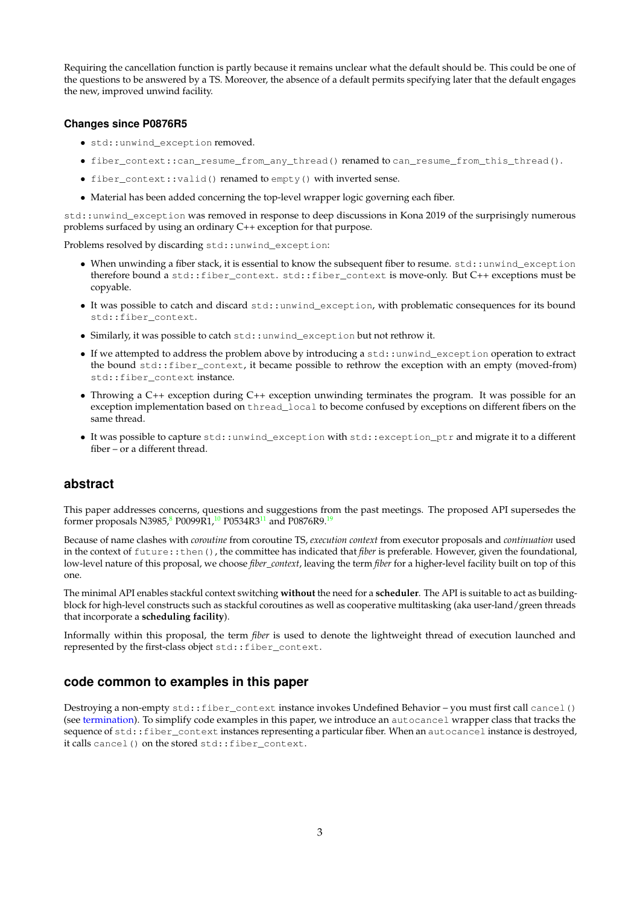Requiring the cancellation function is partly because it remains unclear what the default should be. This could be one of the questions to be answered by a TS. Moreover, the absence of a default permits specifying later that the default engages the new, improved unwind facility.

#### <span id="page-2-0"></span>**Changes since P0876R5**

- std::unwind\_exception removed.
- fiber\_context::can\_resume\_from\_any\_thread() renamed to can\_resume\_from\_this\_thread().
- fiber\_context::valid() renamed to empty() with inverted sense.
- Material has been added concerning the top-level wrapper logic governing each fiber.

std::unwind\_exception was removed in response to deep discussions in Kona 2019 of the surprisingly numerous problems surfaced by using an ordinary C++ exception for that purpose.

Problems resolved by discarding std::unwind\_exception:

- When unwinding a fiber stack, it is essential to know the subsequent fiber to resume. std::unwind\_exception therefore bound a std::fiber\_context. std::fiber\_context is move-only. But C++ exceptions must be copyable.
- It was possible to catch and discard std::unwind\_exception, with problematic consequences for its bound std::fiber\_context.
- Similarly, it was possible to catch std::unwind\_exception but not rethrow it.
- If we attempted to address the problem above by introducing a std::unwind\_exception operation to extract the bound std::fiber\_context, it became possible to rethrow the exception with an empty (moved-from) std::fiber\_context instance.
- Throwing a C++ exception during C++ exception unwinding terminates the program. It was possible for an exception implementation based on thread\_local to become confused by exceptions on different fibers on the same thread.
- It was possible to capture std::unwind\_exception with std::exception\_ptr and migrate it to a different fiber – or a different thread.

## <span id="page-2-1"></span>**abstract**

This paper addresses concerns, questions and suggestions from the past meetings. The proposed API supersedes the former proposals N39[8](#page-28-0)5,<sup>8</sup> P0099R1,<sup>[10](#page-28-1)</sup> P0534R3<sup>[11](#page-28-2)</sup> and P0876R9.<sup>[19](#page-28-3)</sup>

Because of name clashes with *coroutine* from coroutine TS, *execution context* from executor proposals and *continuation* used in the context of future::then(), the committee has indicated that *fiber* is preferable. However, given the foundational, low-level nature of this proposal, we choose *fiber\_context*, leaving the term *fiber* for a higher-level facility built on top of this one.

The minimal API enables stackful context switching **without** the need for a **scheduler**. The API is suitable to act as buildingblock for high-level constructs such as stackful coroutines as well as cooperative multitasking (aka user-land/green threads that incorporate a **scheduling facility**).

Informally within this proposal, the term *fiber* is used to denote the lightweight thread of execution launched and represented by the first-class object std::fiber\_context.

## <span id="page-2-2"></span>**code common to examples in this paper**

Destroying a non-empty std::fiber\_context instance invokes Undefined Behavior – you must first call cancel() (see [termination\)](#page-15-2). To simplify code examples in this paper, we introduce an autocancel wrapper class that tracks the sequence of std::fiber\_context instances representing a particular fiber. When an autocancel instance is destroyed, it calls cancel() on the stored std::fiber\_context.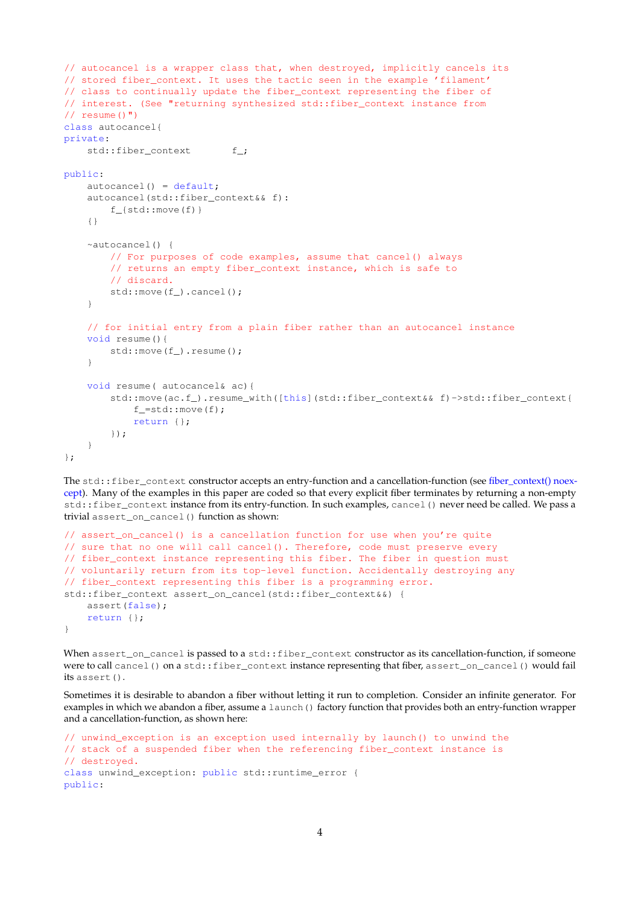```
// autocancel is a wrapper class that, when destroyed, implicitly cancels its
// stored fiber_context. It uses the tactic seen in the example 'filament'
// class to continually update the fiber_context representing the fiber of
// interest. (See "returning synthesized std::fiber_context instance from
// resume()")
class autocancel{
private:
    std::fiber_context f_;
public:
   autocancel() = default;autocancel(std::fiber_context&& f):
        f_{std::move(f)}
    {}
    ~autocancel() {
       // For purposes of code examples, assume that cancel() always
       // returns an empty fiber_context instance, which is safe to
       // discard.
       std::move(f_).cancel();
    }
    // for initial entry from a plain fiber rather than an autocancel instance
   void resume(){
       std::move(f_).resume();
    }
   void resume( autocancel& ac){
       std::move(ac.f_).resume_with([this](std::fiber_context&& f)->std::fiber_context{
            f =std:: move (f);
            return {};
        });
    }
};
```
The std::fiber\_context constructor accepts an entry-function and a cancellation-function (see [fiber\\_context\(\) noex](#page-23-2)[cept\)](#page-23-2). Many of the examples in this paper are coded so that every explicit fiber terminates by returning a non-empty std::fiber\_context instance from its entry-function. In such examples, cancel() never need be called. We pass a trivial assert\_on\_cancel() function as shown:

```
// assert_on_cancel() is a cancellation function for use when you're quite
// sure that no one will call cancel(). Therefore, code must preserve every
// fiber_context instance representing this fiber. The fiber in question must
// voluntarily return from its top-level function. Accidentally destroying any
// fiber_context representing this fiber is a programming error.
std::fiber_context assert_on_cancel(std::fiber_context&&) {
   assert(false);
   return {};
}
```
When assert\_on\_cancel is passed to a std::fiber\_context constructor as its cancellation-function, if someone were to call cancel() on a std::fiber\_context instance representing that fiber, assert\_on\_cancel() would fail its assert().

Sometimes it is desirable to abandon a fiber without letting it run to completion. Consider an infinite generator. For examples in which we abandon a fiber, assume a launch () factory function that provides both an entry-function wrapper and a cancellation-function, as shown here:

```
// unwind_exception is an exception used internally by launch() to unwind the
// stack of a suspended fiber when the referencing fiber_context instance is
// destroyed.
class unwind_exception: public std::runtime_error {
public:
```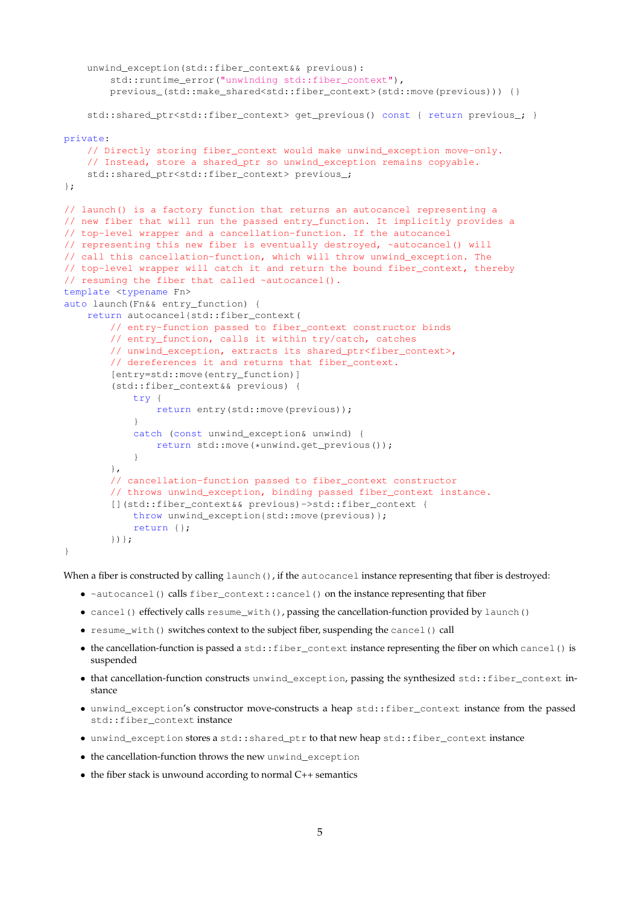```
unwind_exception(std::fiber_context&& previous):
       std::runtime_error("unwinding std::fiber_context"),
       previous_(std::make_shared<std::fiber_context>(std::move(previous))) {}
    std::shared_ptr<std::fiber_context> get_previous() const { return previous_; }
private:
    // Directly storing fiber_context would make unwind_exception move-only.
    // Instead, store a shared_ptr so unwind_exception remains copyable.
    std::shared_ptr<std::fiber_context> previous_;
};
// launch() is a factory function that returns an autocancel representing a
// new fiber that will run the passed entry_function. It implicitly provides a
// top-level wrapper and a cancellation-function. If the autocancel
// representing this new fiber is eventually destroyed, ~autocancel() will
// call this cancellation-function, which will throw unwind_exception. The
// top-level wrapper will catch it and return the bound fiber_context, thereby
// resuming the fiber that called ~autocancel().
template <typename Fn>
auto launch(Fn&& entry_function) {
   return autocancel{std::fiber_context(
       // entry-function passed to fiber_context constructor binds
        // entry_function, calls it within try/catch, catches
        // unwind_exception, extracts its shared_ptr<fiber_context>,
        // dereferences it and returns that fiber_context.
        [entry=std::move(entry_function)]
        (std::fiber_context&& previous) {
           try {
                return entry(std::move(previous));
            }
            catch (const unwind_exception& unwind) {
                return std::move(*unwind.get_previous());
            }
        },
        // cancellation-function passed to fiber_context constructor
        // throws unwind_exception, binding passed fiber_context instance.
        [](std::fiber_context&& previous)->std::fiber_context {
           throw unwind_exception{std::move(previous)};
           return {};
        })};
\lambda
```
<span id="page-4-0"></span>When a fiber is constructed by calling  $l$  aunch(), if the autocancel instance representing that fiber is destroyed:

- ~autocancel() calls fiber\_context::cancel() on the instance representing that fiber
- cancel() effectively calls resume\_with(), passing the cancellation-function provided by launch()
- resume with() switches context to the subject fiber, suspending the cancel() call
- $\bullet$  the cancellation-function is passed a std::fiber\_context instance representing the fiber on which cancel() is suspended
- that cancellation-function constructs unwind\_exception, passing the synthesized std::fiber\_context instance
- unwind\_exception's constructor move-constructs a heap std::fiber\_context instance from the passed std::fiber\_context instance
- unwind\_exception stores a std::shared\_ptr to that new heap std::fiber\_context instance
- the cancellation-function throws the new unwind\_exception
- $\bullet$  the fiber stack is unwound according to normal C++ semantics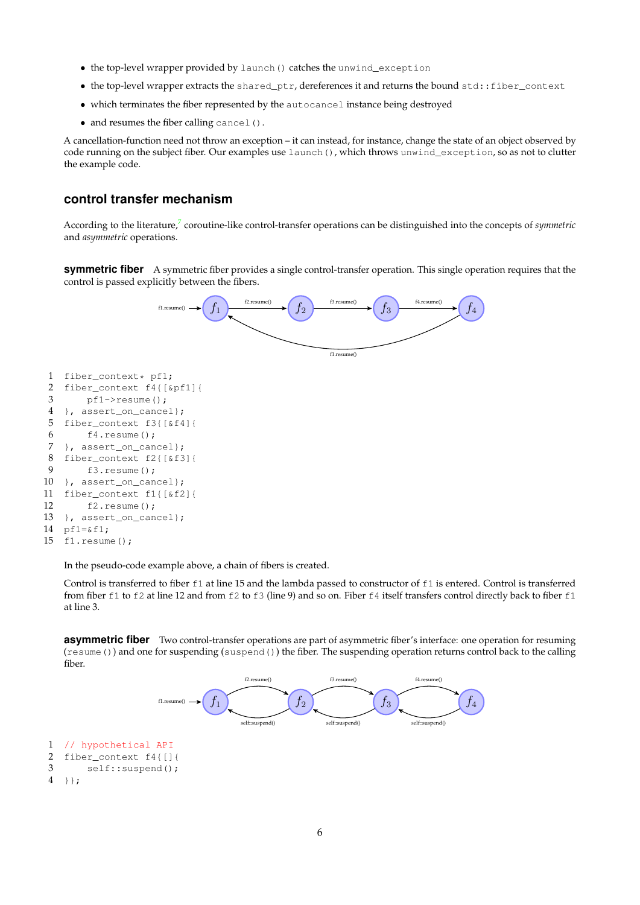- the top-level wrapper provided by launch() catches the unwind\_exception
- the top-level wrapper extracts the shared\_ptr, dereferences it and returns the bound std::fiber\_context
- which terminates the fiber represented by the autocancel instance being destroyed
- and resumes the fiber calling cancel().

A cancellation-function need not throw an exception – it can instead, for instance, change the state of an object observed by code running on the subject fiber. Our examples use launch(), which throws unwind\_exception, so as not to clutter the example code.

## **control transfer mechanism**

According to the literature,<sup>[7](#page-28-4)</sup> coroutine-like control-transfer operations can be distinguished into the concepts of *symmetric* and *asymmetric* operations.

**symmetric fiber** A symmetric fiber provides a single control-transfer operation. This single operation requires that the control is passed explicitly between the fibers.



In the pseudo-code example above, a chain of fibers is created.

Control is transferred to fiber f1 at line 15 and the lambda passed to constructor of f1 is entered. Control is transferred from fiber f1 to f2 at line 12 and from f2 to f3 (line 9) and so on. Fiber f4 itself transfers control directly back to fiber f1 at line 3.

**asymmetric fiber** Two control-transfer operations are part of asymmetric fiber's interface: one operation for resuming (resume()) and one for suspending (suspend()) the fiber. The suspending operation returns control back to the calling fiber.

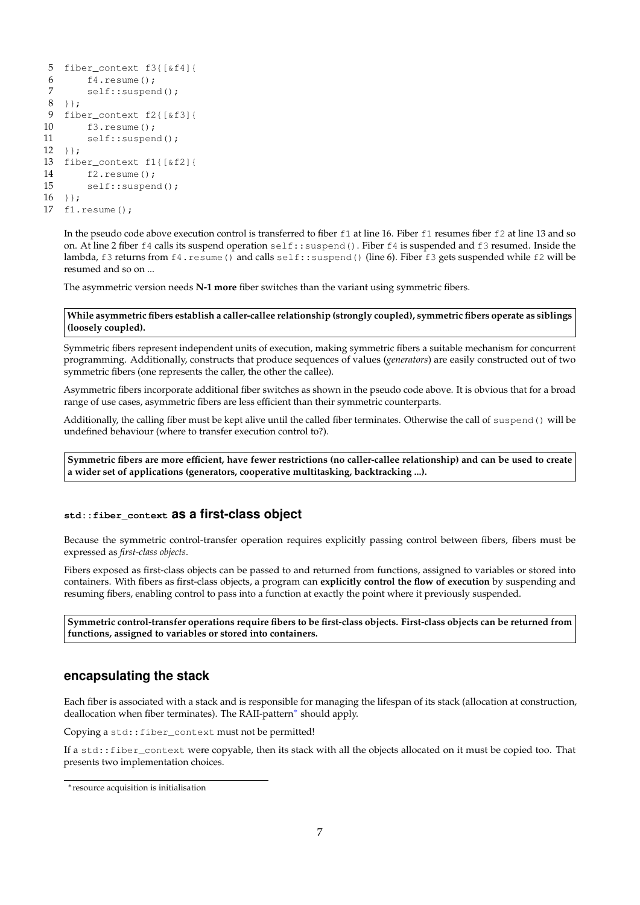```
5 fiber_context f3{[&f4]{
6 f4 \cdot \text{resume}();<br>7 \text{self:} : \text{subopen}self::suspend();
8 }};
9 fiber_context f2{[&f3]{
10 f3.resume();
11 self::suspend();
12 } } ;
13 fiber_context f1{[&f2]{
14 f2.resume();
15 self::suspend();
16 } };
17 f1.resume();
```
<span id="page-6-0"></span>In the pseudo code above execution control is transferred to fiber  $f1$  at line 16. Fiber  $f1$  resumes fiber  $f2$  at line 13 and so on. At line 2 fiber f4 calls its suspend operation self::suspend(). Fiber f4 is suspended and f3 resumed. Inside the lambda, f3 returns from f4. resume() and calls self::suspend() (line 6). Fiber f3 gets suspended while f2 will be resumed and so on ...

The asymmetric version needs **N-1 more** fiber switches than the variant using symmetric fibers.

**While asymmetric fibers establish a caller-callee relationship (strongly coupled), symmetric fibers operate as siblings (loosely coupled).**

Symmetric fibers represent independent units of execution, making symmetric fibers a suitable mechanism for concurrent programming. Additionally, constructs that produce sequences of values (*generators*) are easily constructed out of two symmetric fibers (one represents the caller, the other the callee).

Asymmetric fibers incorporate additional fiber switches as shown in the pseudo code above. It is obvious that for a broad range of use cases, asymmetric fibers are less efficient than their symmetric counterparts.

Additionally, the calling fiber must be kept alive until the called fiber terminates. Otherwise the call of suspend() will be undefined behaviour (where to transfer execution control to?).

**Symmetric fibers are more efficient, have fewer restrictions (no caller-callee relationship) and can be used to create a wider set of applications (generators, cooperative multitasking, backtracking ...).**

## <span id="page-6-1"></span>**std::fiber\_context as a first-class object**

Because the symmetric control-transfer operation requires explicitly passing control between fibers, fibers must be expressed as *first-class objects*.

Fibers exposed as first-class objects can be passed to and returned from functions, assigned to variables or stored into containers. With fibers as first-class objects, a program can **explicitly control the flow of execution** by suspending and resuming fibers, enabling control to pass into a function at exactly the point where it previously suspended.

**Symmetric control-transfer operations require fibers to be first-class objects. First-class objects can be returned from functions, assigned to variables or stored into containers.**

## <span id="page-6-2"></span>**encapsulating the stack**

Each fiber is associated with a stack and is responsible for managing the lifespan of its stack (allocation at construction, deallocation when fiber terminates). The RAII-pattern<sup>\*</sup> should apply.

Copying a std:: fiber\_context must not be permitted!

If a std::fiber\_context were copyable, then its stack with all the objects allocated on it must be copied too. That presents two implementation choices.

<span id="page-6-3"></span><sup>∗</sup>resource acquisition is initialisation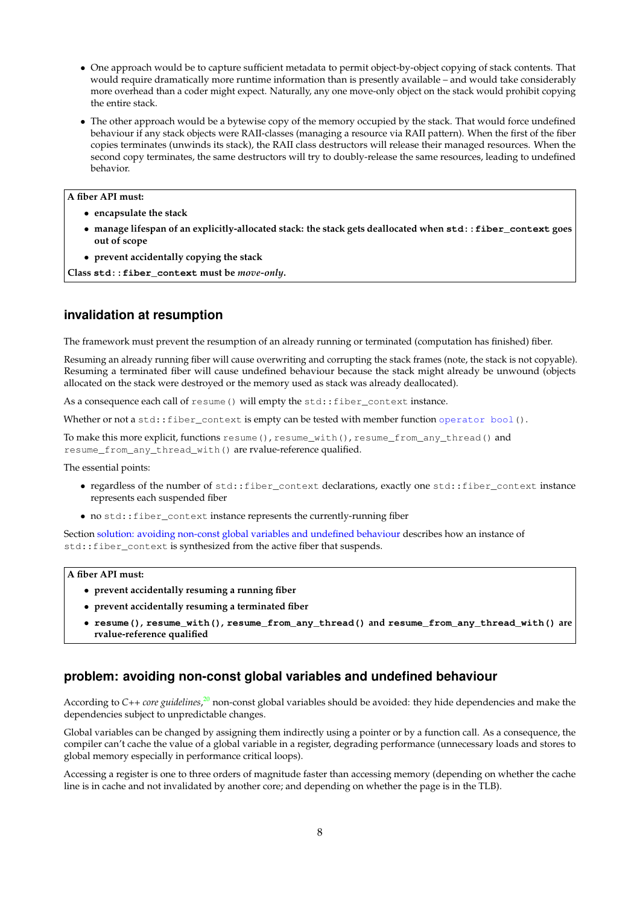- One approach would be to capture sufficient metadata to permit object-by-object copying of stack contents. That would require dramatically more runtime information than is presently available – and would take considerably more overhead than a coder might expect. Naturally, any one move-only object on the stack would prohibit copying the entire stack.
- The other approach would be a bytewise copy of the memory occupied by the stack. That would force undefined behaviour if any stack objects were RAII-classes (managing a resource via RAII pattern). When the first of the fiber copies terminates (unwinds its stack), the RAII class destructors will release their managed resources. When the second copy terminates, the same destructors will try to doubly-release the same resources, leading to undefined behavior.

## **A fiber API must:**

- **encapsulate the stack**
- **manage lifespan of an explicitly-allocated stack: the stack gets deallocated when std::fiber\_context goes out of scope**
- **prevent accidentally copying the stack**

**Class std::fiber\_context must be** *move-only***.**

## <span id="page-7-0"></span>**invalidation at resumption**

The framework must prevent the resumption of an already running or terminated (computation has finished) fiber.

Resuming an already running fiber will cause overwriting and corrupting the stack frames (note, the stack is not copyable). Resuming a terminated fiber will cause undefined behaviour because the stack might already be unwound (objects allocated on the stack were destroyed or the memory used as stack was already deallocated).

As a consequence each call of resume () will empty the std::fiber\_context instance.

Whether or not a std::fiber\_context is empty can be tested with member function operator bool().

To make this more explicit, functions resume(), resume\_with(), resume\_from\_any\_thread() and resume\_from\_any\_thread\_with() are rvalue-reference qualified.

The essential points:

- regardless of the number of std::fiber\_context declarations, exactly one std::fiber\_context instance represents each suspended fiber
- no std::fiber\_context instance represents the currently-running fiber

Section [solution: avoiding non-const global variables and undefined behaviour](#page-9-1) describes how an instance of std::fiber\_context is synthesized from the active fiber that suspends.

#### **A fiber API must:**

- **prevent accidentally resuming a running fiber**
- **prevent accidentally resuming a terminated fiber**
- **resume(), resume\_with(), resume\_from\_any\_thread() and resume\_from\_any\_thread\_with() are rvalue-reference qualified**

## **problem: avoiding non-const global variables and undefined behaviour**

According to C++ *core guidelines*,<sup>[20](#page-28-5)</sup> non-const global variables should be avoided: they hide dependencies and make the dependencies subject to unpredictable changes.

Global variables can be changed by assigning them indirectly using a pointer or by a function call. As a consequence, the compiler can't cache the value of a global variable in a register, degrading performance (unnecessary loads and stores to global memory especially in performance critical loops).

Accessing a register is one to three orders of magnitude faster than accessing memory (depending on whether the cache line is in cache and not invalidated by another core; and depending on whether the page is in the TLB).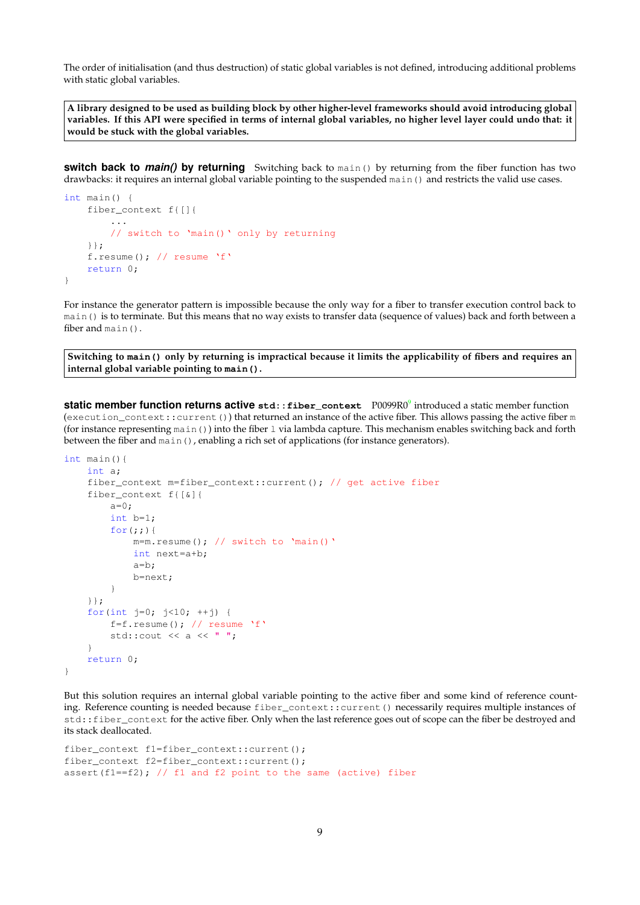The order of initialisation (and thus destruction) of static global variables is not defined, introducing additional problems with static global variables.

**A library designed to be used as building block by other higher-level frameworks should avoid introducing global variables. If this API were specified in terms of internal global variables, no higher level layer could undo that: it would be stuck with the global variables.**

**switch back to** *main()* **by returning** Switching back to main() by returning from the fiber function has two drawbacks: it requires an internal global variable pointing to the suspended main() and restricts the valid use cases.

```
int main() {
    fiber_context f{[]{
        ...
        // switch to 'main()' only by returning
    }};
    f.resume(); // resume 'f'
    return 0;
}
```
For instance the generator pattern is impossible because the only way for a fiber to transfer execution control back to main() is to terminate. But this means that no way exists to transfer data (sequence of values) back and forth between a fiber and main().

**Switching to main() only by returning is impractical because it limits the applicability of fibers and requires an internal global variable pointing to main().**

**static member function returns active std::fiber\_context** P0099R0[9](#page-28-6) introduced a static member function (execution\_context::current()) that returned an instance of the active fiber. This allows passing the active fiber m (for instance representing main()) into the fiber l via lambda capture. This mechanism enables switching back and forth between the fiber and main(), enabling a rich set of applications (for instance generators).

```
int main(){
    int a;
    fiber_context m=fiber_context::current(); // get active fiber
    fiber_context f{[&]{
        a=0;int b=1;
        for(j;))m=m.resume(); // switch to 'main()'
            int next=a+b;
            a=b;
            b=next;
        }
    }};
    for(int j=0; j<10; ++j) {
        f=f.resume(); // resume 'f'std::cout << a << ";
    }
    return 0;
}
```
But this solution requires an internal global variable pointing to the active fiber and some kind of reference counting. Reference counting is needed because fiber\_context::current() necessarily requires multiple instances of std::fiber\_context for the active fiber. Only when the last reference goes out of scope can the fiber be destroyed and its stack deallocated.

```
fiber_context f1=fiber_context::current();
fiber_context f2=fiber_context::current();
assert(f1==f2); // f1 and f2 point to the same (active) fiber
```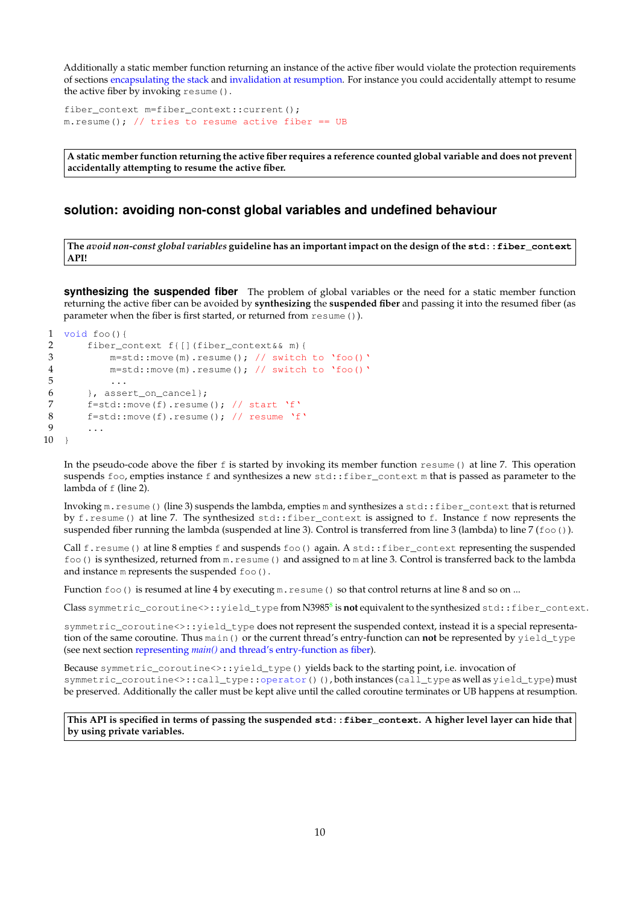Additionally a static member function returning an instance of the active fiber would violate the protection requirements of sections [encapsulating the stack](#page-6-2) and [invalidation at resumption.](#page-7-0) For instance you could accidentally attempt to resume the active fiber by invoking  $resume()$ .

<span id="page-9-0"></span>fiber\_context m=fiber\_context::current(); m.resume(); // tries to resume active fiber ==  $UB$ 

**A static member function returning the active fiber requires a reference counted global variable and does not prevent accidentally attempting to resume the active fiber.**

## <span id="page-9-1"></span>**solution: avoiding non-const global variables and undefined behaviour**

**The** *avoid non-const global variables* **guideline has an important impact on the design of the std::fiber\_context API!**

<span id="page-9-2"></span>**synthesizing the suspended fiber** The problem of global variables or the need for a static member function returning the active fiber can be avoided by **synthesizing** the **suspended fiber** and passing it into the resumed fiber (as parameter when the fiber is first started, or returned from resume()).

```
1 void foo(){
2 fiber_context f([|fiber\_context& m){<br>3 m=std: move (m) resume () : // switch
               m=std::move(m).resume(); // switch to 'foo()'
4 m=std::move(m).resume(); // switch to 'foo()'<br>5 ...
\begin{matrix} 5 & & \dots \\ 6 & & \dots \end{matrix}6 }, assert_on_cancel};
7 f=std::move(f).resume(); // start 'f'<br>8 f=std::move(f).resume(); // resume 'f
          f=std::move(f).resume(); // resume 'f'
9 ...
10 }
```
In the pseudo-code above the fiber  $f$  is started by invoking its member function  $r$ esume() at line 7. This operation suspends foo, empties instance f and synthesizes a new std::fiber\_context m that is passed as parameter to the lambda of  $f$  (line 2).

Invoking m. resume() (line 3) suspends the lambda, empties m and synthesizes a std::fiber\_context that is returned by f.resume() at line 7. The synthesized std::fiber\_context is assigned to f. Instance f now represents the suspended fiber running the lambda (suspended at line 3). Control is transferred from line 3 (lambda) to line 7 ( $f \circ \circ$ ).

Call  $f$ . resume() at line 8 empties  $f$  and suspends  $f \circ \circ$ () again. A std:: $f$ iber\_context representing the suspended foo() is synthesized, returned from m.resume() and assigned to m at line 3. Control is transferred back to the lambda and instance m represents the suspended  $f \circ \circ ($ ).

Function  $f \circ \circ$  () is resumed at line 4 by executing  $m$ .  $r \in S$  and control returns at line 8 and so on ...

 $\textsf{Class}~\textsf{symmetric\_coroutines}\texttt{>>}:\textsf{yield\_type}~\textsf{from}~\textsf{N3985}^{\textsf{8}}~\textsf{is}~\textsf{not}~\textsf{equivalent}~\textsf{to}~\textsf{the}~\textsf{synthesized}~\textsf{std}:\textsf{fiber\_context}.$  $\textsf{Class}~\textsf{symmetric\_coroutines}\texttt{>>}:\textsf{yield\_type}~\textsf{from}~\textsf{N3985}^{\textsf{8}}~\textsf{is}~\textsf{not}~\textsf{equivalent}~\textsf{to}~\textsf{the}~\textsf{synthesized}~\textsf{std}:\textsf{fiber\_context}.$  $\textsf{Class}~\textsf{symmetric\_coroutines}\texttt{>>}:\textsf{yield\_type}~\textsf{from}~\textsf{N3985}^{\textsf{8}}~\textsf{is}~\textsf{not}~\textsf{equivalent}~\textsf{to}~\textsf{the}~\textsf{synthesized}~\textsf{std}:\textsf{fiber\_context}.$ 

symmetric\_coroutine<>::yield\_type does not represent the suspended context, instead it is a special representation of the same coroutine. Thus main() or the current thread's entry-function can **not** be represented by yield\_type (see next section representing *main()* [and thread's entry-function as fiber\)](#page-10-0).

Because symmetric\_coroutine<>::yield\_type() yields back to the starting point, i.e. invocation of symmetric\_coroutine<>::call\_type::operator()(), both instances (call\_type as well as yield\_type) must be preserved. Additionally the caller must be kept alive until the called coroutine terminates or UB happens at resumption.

**This API is specified in terms of passing the suspended std::fiber\_context. A higher level layer can hide that by using private variables.**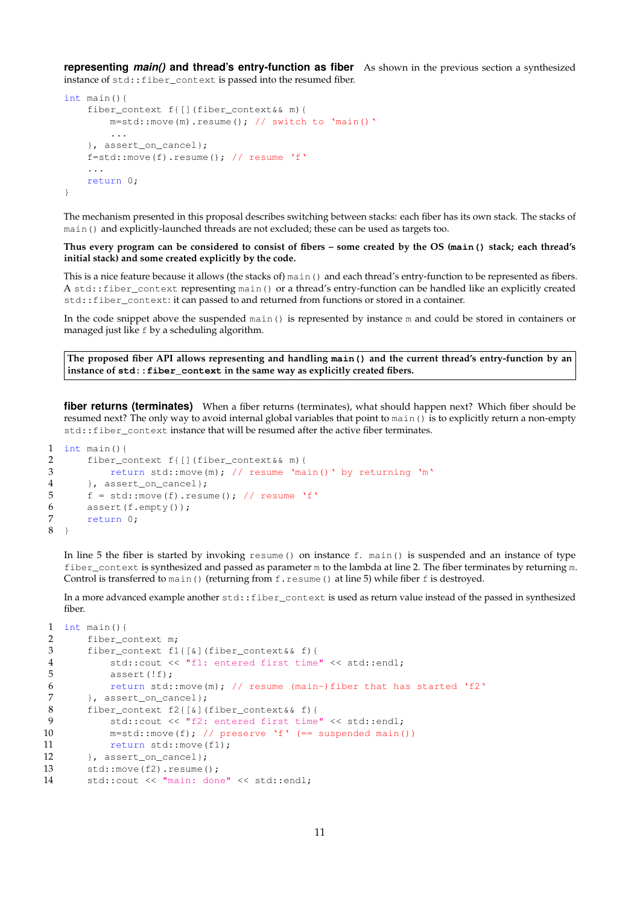<span id="page-10-0"></span>**representing** *main()* **and thread's entry-function as fiber** As shown in the previous section a synthesized instance of std::fiber\_context is passed into the resumed fiber.

```
int main(){
    fiber_context f{[](fiber_context&& m){
       m=std::move(m).resume(); // switch to 'main()'
        ...
    }, assert_on_cancel};
    f=std::move(f).result(); // resume 'f'
    ...
   return 0;
}
```
The mechanism presented in this proposal describes switching between stacks: each fiber has its own stack. The stacks of main() and explicitly-launched threads are not excluded; these can be used as targets too.

**Thus every program can be considered to consist of fibers – some created by the OS (main() stack; each thread's initial stack) and some created explicitly by the code.**

This is a nice feature because it allows (the stacks of) main() and each thread's entry-function to be represented as fibers. A std::fiber\_context representing main() or a thread's entry-function can be handled like an explicitly created std::fiber\_context: it can passed to and returned from functions or stored in a container.

In the code snippet above the suspended main() is represented by instance m and could be stored in containers or managed just like f by a scheduling algorithm.

**The proposed fiber API allows representing and handling main() and the current thread's entry-function by an instance of std::fiber\_context in the same way as explicitly created fibers.**

**fiber returns (terminates)** When a fiber returns (terminates), what should happen next? Which fiber should be resumed next? The only way to avoid internal global variables that point to main() is to explicitly return a non-empty std::fiber\_context instance that will be resumed after the active fiber terminates.

```
1 int main(){
2 fiber_context f{[](fiber_context&& m){<br>3 return std::move(m): // resume 'ma
           return std::move(m); // resume 'main()' by returning 'm'
4 }, assert_on_cancel};
5 f = std::move(f).resume(); // resume 'f'6 assert(f.\text{empty}());7 return 0;
8 }
```
In line 5 the fiber is started by invoking resume() on instance f. main() is suspended and an instance of type fiber\_context is synthesized and passed as parameter m to the lambda at line 2. The fiber terminates by returning m. Control is transferred to main() (returning from  $f$ . resume() at line 5) while fiber  $f$  is destroyed.

In a more advanced example another  $std::fiber\_context$  is used as return value instead of the passed in synthesized fiber.

```
1 int main(){
2 fiber_context m;
3 fiber_context f1{[&](fiber_context&& f){
4 std::cout << "f1: entered first time" << std::endl;
5 assert(!f);
6 return std::move(m); // resume (main-)fiber that has started 'f2'
7 }, assert_on_cancel};
8 fiber_context f2{[&](fiber_context&& f){
9 std::cout << "f2: entered first time" << std::endl;
10 m=std::move(f); // preserve 'f' (== suspended main())
11 return std::move(f1);
12 }, assert_on_cancel};
13 std:: move(f2).resume();
14 std::cout << "main: done" << std::endl;
```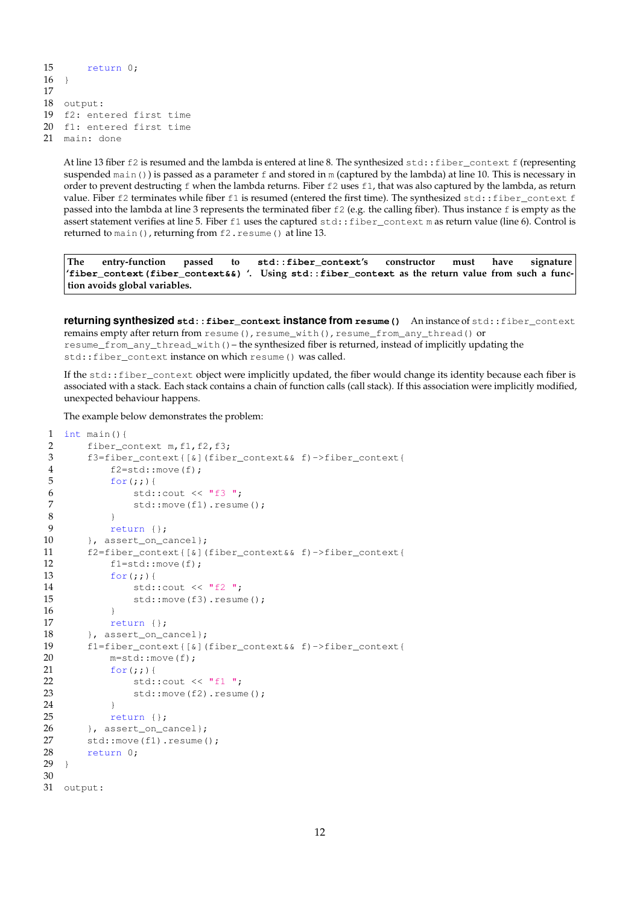```
15 return 0;
16 \quad17
18 output:
19 f2: entered first time
20 f1: entered first time
21 main: done
```
At line 13 fiber  $f2$  is resumed and the lambda is entered at line 8. The synthesized std::fiber\_context f (representing suspended main()) is passed as a parameter  $f$  and stored in m (captured by the lambda) at line 10. This is necessary in order to prevent destructing  $f$  when the lambda returns. Fiber  $f_2$  uses  $f_1$ , that was also captured by the lambda, as return value. Fiber f2 terminates while fiber f1 is resumed (entered the first time). The synthesized std::fiber\_context f passed into the lambda at line 3 represents the terminated fiber f2 (e.g. the calling fiber). Thus instance f is empty as the assert statement verifies at line 5. Fiber f1 uses the captured std::fiber\_context m as return value (line 6). Control is returned to main(), returning from f2. resume() at line 13.

**The entry-function passed to std::fiber\_context's constructor must have signature 'fiber\_context(fiber\_context&&) '. Using std::fiber\_context as the return value from such a function avoids global variables.**

<span id="page-11-0"></span>**returning synthesized std::fiber\_context instance from resume()** An instance of std::fiber\_context remains empty after return from resume(), resume\_with(), resume\_from\_any\_thread() or resume\_from\_any\_thread\_with()– the synthesized fiber is returned, instead of implicitly updating the std::fiber\_context instance on which resume() was called.

If the std::fiber\_context object were implicitly updated, the fiber would change its identity because each fiber is associated with a stack. Each stack contains a chain of function calls (call stack). If this association were implicitly modified, unexpected behaviour happens.

The example below demonstrates the problem:

```
1 int main() {
2 fiber_context m, f1, f2, f3;
3 f3=fiber_context{[&](fiber_context&& f)->fiber_context{
4 f2=std::move(f);
5 for (i; j) {
6 std::count \ll "f3";<br>7 std::move(f1). resum
             std::move(f1).resume();
8 }
9 return {};
10 }, assert on cancel};
11 f2=fiber_context{[&](fiber_context&& f)->fiber_context{
12 f1=std::move(f);
13 for (i; j) {
14 std::cout << "f2 ";
15 std::move(f3).resume();
16 }
17 return {};
18 }, assert_on_cancel};
19 f1=fiber_context{[&](fiber_context&& f)->fiber_context{
20 m=std::move(f);
21 for (;;) {
22 std::cout << "f1 ";
23 std::move(f2).resume();
24 }
25 return {};
26 }, assert_on_cancel};
27 std::move(f1).resume();<br>28 return 0:
      return 0;
29 }
30
31 output:
```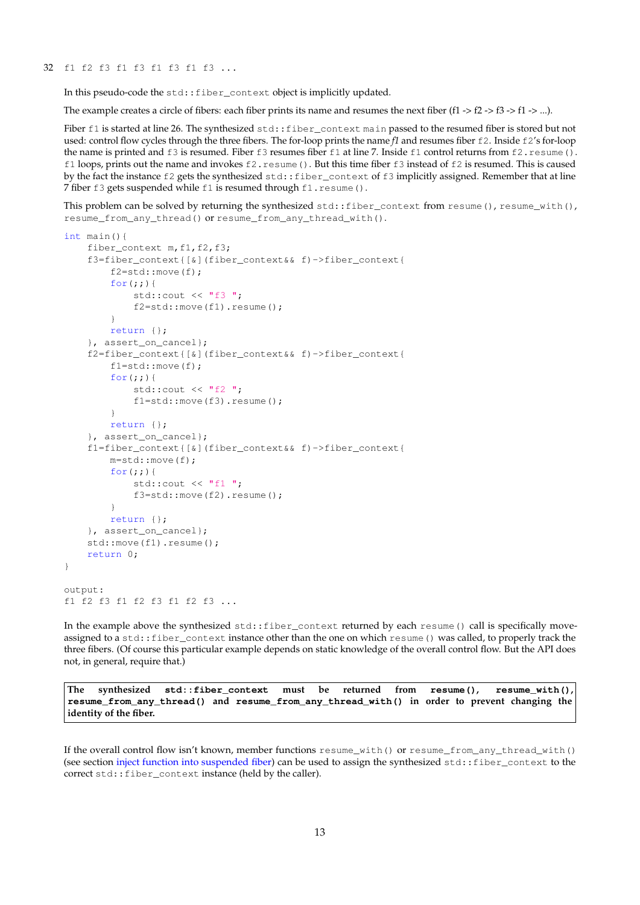In this pseudo-code the std:: fiber\_context object is implicitly updated.

The example creates a circle of fibers: each fiber prints its name and resumes the next fiber (f1  $\geq$  f2  $\geq$  f3  $\geq$  f1  $\geq$  ...).

Fiber f1 is started at line 26. The synthesized std::fiber\_context main passed to the resumed fiber is stored but not used: control flow cycles through the three fibers. The for-loop prints the name *f1* and resumes fiber f2. Inside f2's for-loop the name is printed and f3 is resumed. Fiber f3 resumes fiber f1 at line 7. Inside f1 control returns from f2.resume(). f1 loops, prints out the name and invokes f2.resume(). But this time fiber f3 instead of f2 is resumed. This is caused by the fact the instance f2 gets the synthesized std: : fiber\_context of f3 implicitly assigned. Remember that at line 7 fiber f3 gets suspended while f1 is resumed through f1.resume().

This problem can be solved by returning the synthesized std::fiber\_context from resume(), resume\_with(), resume\_from\_any\_thread() or resume\_from\_any\_thread\_with().

```
int main(){
    fiber_context m, f1, f2, f3;
    f3=fiber_context{[&](fiber_context&& f)->fiber_context{
        f2=std::move(f);for(j;))std::cout << "f3 ";
            f2=std::move(f1).resume();
        }
        return {};
    }, assert_on_cancel};
    f2=fiber_context{[&](fiber_context&& f)->fiber_context{
       f1=std::move(f);
        for(::)std::cout \lt\lt "f2 ";
            f1=std::move(f3).resume();
        }
        return {};
    }, assert_on_cancel};
    f1=fiber_context{[&](fiber_context&& f)->fiber_context{
       m=std::move(f);
        for(j;std::cout << "f1 ";
            f3=std::move(f2).resume();
        }
        return {};
    }, assert_on_cancel};
    std::move(f1).resume();
    return 0;
}
output:
f1 f2 f3 f1 f2 f3 f1 f2 f3 ...
```
In the example above the synthesized std::fiber\_context returned by each resume() call is specifically moveassigned to a std::fiber\_context instance other than the one on which resume() was called, to properly track the three fibers. (Of course this particular example depends on static knowledge of the overall control flow. But the API does not, in general, require that.)

**The synthesized std::fiber\_context must be returned from resume(), resume\_with(), resume\_from\_any\_thread() and resume\_from\_any\_thread\_with() in order to prevent changing the identity of the fiber.**

If the overall control flow isn't known, member functions resume\_with() or resume\_from\_any\_thread\_with() (see section [inject function into suspended fiber\)](#page-13-1) can be used to assign the synthesized std::fiber\_context to the correct std::fiber\_context instance (held by the caller).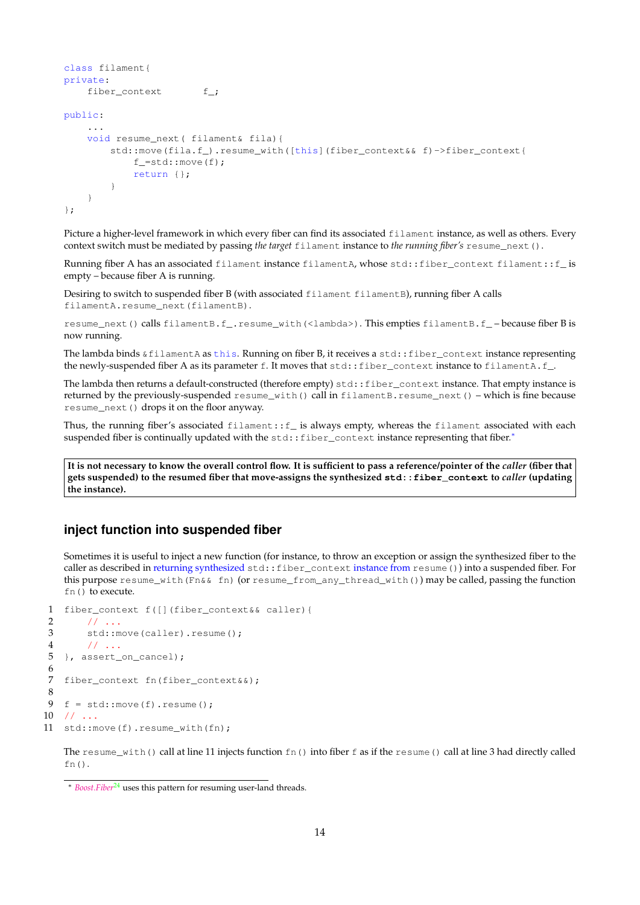```
class filament{
private:
   fiber_context f_;
public:
    ...
    void resume next( filament& fila) {
        std::move(fila.f_).resume_with([this](fiber_context& f)->fiber_context{
            f =std:: move (f);
            return {};
        }
    }
};
```
<span id="page-13-0"></span>Picture a higher-level framework in which every fiber can find its associated filament instance, as well as others. Every context switch must be mediated by passing *the target* filament instance to *the running fiber's* resume\_next().

Running fiber A has an associated filament instance filamentA, whose std::fiber\_context filament::f\_ is empty – because fiber A is running.

Desiring to switch to suspended fiber B (with associated filament filamentB), running fiber A calls filamentA.resume\_next(filamentB).

resume\_next() calls filamentB.f\_.resume\_with(<lambda>). This empties filamentB.f\_ – because fiber B is now running.

The lambda binds &filamentA as this. Running on fiber B, it receives a std::fiber\_context instance representing the newly-suspended fiber A as its parameter f. It moves that  $stat::fiber\_context$  instance to filamentA.f\_.

The lambda then returns a default-constructed (therefore empty) std::fiber\_context instance. That empty instance is returned by the previously-suspended resume\_with() call in filamentB.resume\_next() – which is fine because resume\_next() drops it on the floor anyway.

Thus, the running fiber's associated filament::f\_ is always empty, whereas the filament associated with each suspended fiber is continually updated with the std::fiber\_context instance representing that fiber.\*

**It is not necessary to know the overall control flow. It is sufficient to pass a reference/pointer of the** *caller* **(fiber that gets suspended) to the resumed fiber that move-assigns the synthesized std::fiber\_context to** *caller* **(updating the instance).**

## <span id="page-13-1"></span>**inject function into suspended fiber**

Sometimes it is useful to inject a new function (for instance, to throw an exception or assign the synthesized fiber to the caller as described in returning synthesized [std::fiber\\_context](#page-11-0) instance from resume()) into a suspended fiber. For this purpose resume\_with(Fn&& fn) (or resume\_from\_any\_thread\_with()) may be called, passing the function fn() to execute.

```
1 fiber_context f([](fiber_context&& caller){
2 / / / ...3 std::move(caller).resume();
4 // ...
5 }, assert_on_cancel);
\frac{6}{7}fiber_context fn(fiber_context&&);
\frac{8}{9}f = std::move(f).result();
10 // ...
11 std::move(f).resume_with(fn);
```
The resume with() call at line 11 injects function  $fn()$  into fiber f as if the resume() call at line 3 had directly called  $fn()$ .

<span id="page-13-2"></span><sup>∗</sup> *[Boost.Fiber](http://www.boost.org/doc/libs/release/libs/fiber/doc/html/index.html)*[24](#page-28-7) uses this pattern for resuming user-land threads.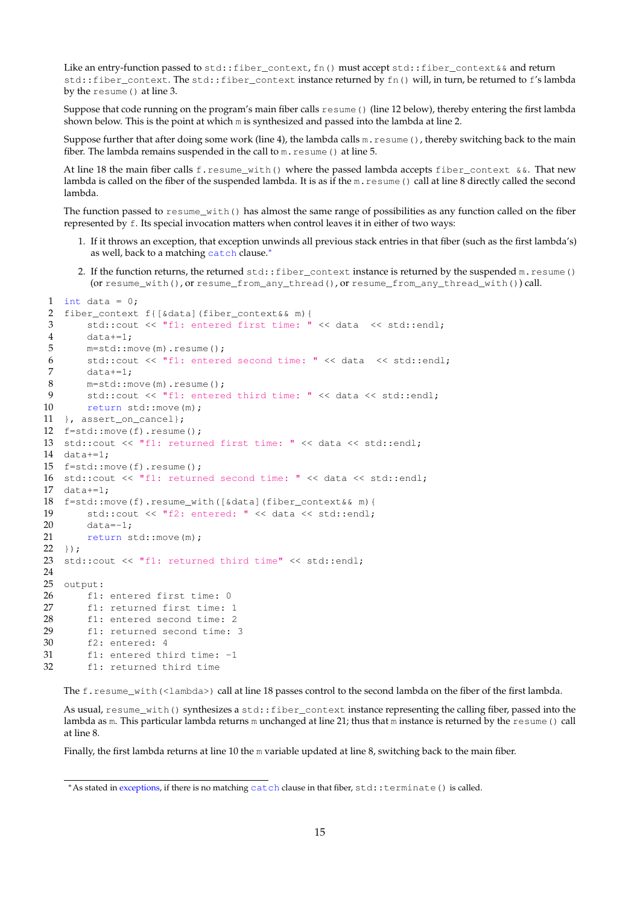Like an entry-function passed to std::fiber\_context, fn() must accept std::fiber\_context&& and return std::fiber\_context. The std::fiber\_context instance returned by fn() will, in turn, be returned to f's lambda by the resume() at line 3.

Suppose that code running on the program's main fiber calls  $r$ esume() (line 12 below), thereby entering the first lambda shown below. This is the point at which m is synthesized and passed into the lambda at line 2.

Suppose further that after doing some work (line 4), the lambda calls  $m$ .  $r$ esume(), thereby switching back to the main fiber. The lambda remains suspended in the call to m.resume() at line 5.

At line 18 the main fiber calls f.resume\_with() where the passed lambda accepts fiber\_context  $&\&$ . That new lambda is called on the fiber of the suspended lambda. It is as if the m. resume () call at line 8 directly called the second lambda.

The function passed to  $resume\_with()$  has almost the same range of possibilities as any function called on the fiber represented by f. Its special invocation matters when control leaves it in either of two ways:

- 1. If it throws an exception, that exception unwinds all previous stack entries in that fiber (such as the first lambda's) as well, back to a matching catch clause.[∗](#page-14-0)
- 2. If the function returns, the returned std::fiber\_context instance is returned by the suspended m.resume() (or resume\_with(), or resume\_from\_any\_thread(), or resume\_from\_any\_thread\_with()) call.

```
1 int data = 0;
2 fiber_context f{[&data](fiber_context&& m){
3 std::cout << "f1: entered first time: " << data << std::endl;
4 data+=1;
5 m=std::move(m).resume();
6 std::cout << "f1: entered second time: " << data << std::endl;
7 data+ = 1;<br>8 m=std::m
      m=std::move(m).resume();
9 std::cout << "f1: entered third time: " << data << std::endl;
10 return std::move(m);
11 }, assert on cancel};
12 f=std::move(f).resume();
13 std::cout << "f1: returned first time: " << data << std::endl;
14 data+=1;
15 f=std::move(f).resume();
16 std::cout << "f1: returned second time: " << data << std::endl;
17 data+=1;18 f=std::move(f).resume_with([&data](fiber_context&& m){
19 std::cout << "f2: entered: " << data << std::endl;
20 data=-1;21 return std::move(m);
22 });
23 std::cout << "f1: returned third time" << std::endl;
24
25 output:
26 f1: entered first time: 0
27 f1: returned first time: 1
28 f1: entered second time: 2
29 f1: returned second time: 3
30 f2: entered: 4
31 f1: entered third time: -1
32 f1: returned third time
```
The f.resume\_with(<lambda>) call at line 18 passes control to the second lambda on the fiber of the first lambda.

As usual, resume\_with() synthesizes a std::fiber\_context instance representing the calling fiber, passed into the lambda as m. This particular lambda returns m unchanged at line 21; thus that m instance is returned by the resume () call at line 8.

Finally, the first lambda returns at line 10 the m variable updated at line 8, switching back to the main fiber.

<span id="page-14-0"></span><sup>∗</sup>As stated in [exceptions,](#page-16-0) if there is no matching catch clause in that fiber, std::terminate() is called.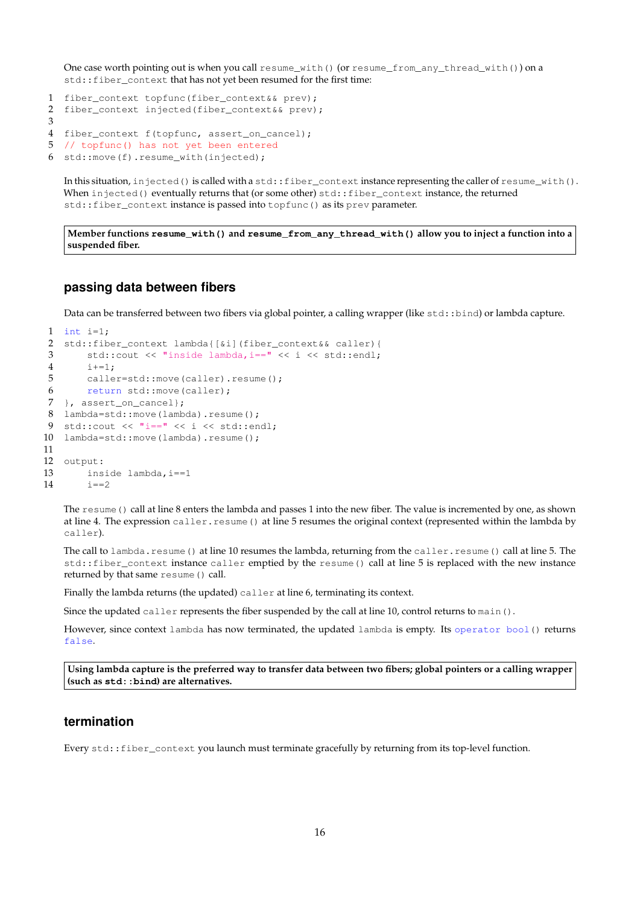One case worth pointing out is when you call resume\_with() (or resume\_from\_any\_thread\_with()) on a std::fiber\_context that has not yet been resumed for the first time:

```
1 fiber_context topfunc(fiber_context&& prev);
2 fiber_context injected(fiber_context&& prev);
3
4 fiber_context f(topfunc, assert_on_cancel);
5 // topfunc() has not yet been entered
6 std::move(f).resume_with(injected);
```
<span id="page-15-0"></span>In this situation, injected() is called with a std::fiber\_context instance representing the caller of resume\_with(). When injected() eventually returns that (or some other) std::fiber\_context instance, the returned std::fiber\_context instance is passed into topfunc() as its prev parameter.

**Member functions resume\_with() and resume\_from\_any\_thread\_with() allow you to inject a function into a suspended fiber.**

## **passing data between fibers**

Data can be transferred between two fibers via global pointer, a calling wrapper (like std::bind) or lambda capture.

```
1 int i=1;
2 std::fiber_context lambda{[&i](fiber_context&& caller){
3 std::cout << "inside lambda,i==" << i << std::endl;
4 i+=1;
5 caller=std::move(caller).resume();
6 return std::move(caller);
7 }, assert_on_cancel};
8 lambda=std::move(lambda).resume();
9 std::cout << "i==" << i << std::endl;
10 lambda=std::move(lambda).resume();
11
12 output:
13 inside lambda,i==1
14 i == 2
```
<span id="page-15-1"></span>The resume() call at line 8 enters the lambda and passes 1 into the new fiber. The value is incremented by one, as shown at line 4. The expression caller.resume() at line 5 resumes the original context (represented within the lambda by caller).

The call to lambda.resume() at line 10 resumes the lambda, returning from the caller.resume() call at line 5. The std::fiber\_context instance caller emptied by the resume() call at line 5 is replaced with the new instance returned by that same resume() call.

Finally the lambda returns (the updated) caller at line 6, terminating its context.

Since the updated caller represents the fiber suspended by the call at line 10, control returns to  $\text{main}($ ).

However, since context lambda has now terminated, the updated lambda is empty. Its operator bool() returns false.

**Using lambda capture is the preferred way to transfer data between two fibers; global pointers or a calling wrapper (such as std::bind) are alternatives.**

## <span id="page-15-2"></span>**termination**

Every std::fiber\_context you launch must terminate gracefully by returning from its top-level function.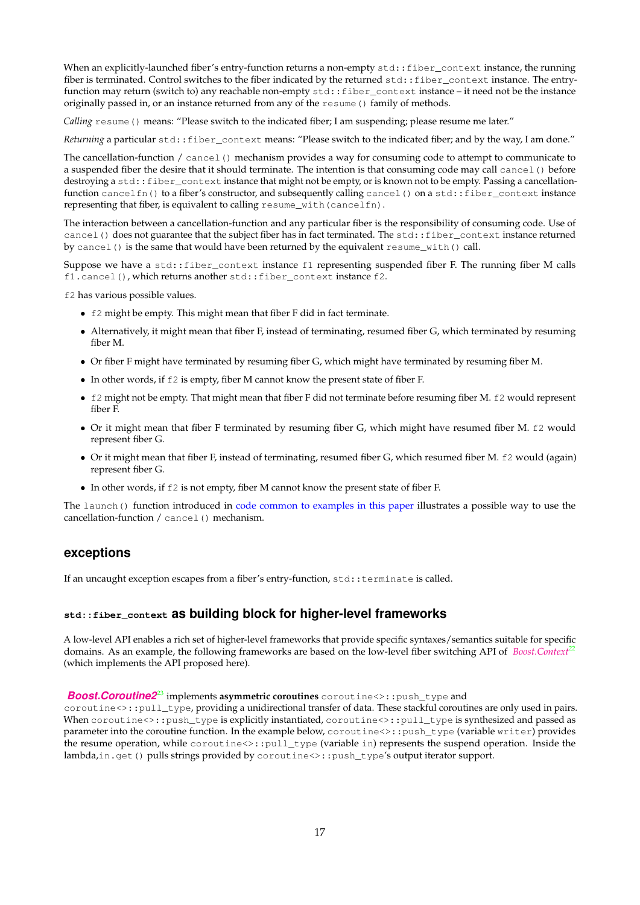When an explicitly-launched fiber's entry-function returns a non-empty std::fiber\_context instance, the running fiber is terminated. Control switches to the fiber indicated by the returned std::fiber\_context instance. The entryfunction may return (switch to) any reachable non-empty std::fiber\_context instance – it need not be the instance originally passed in, or an instance returned from any of the resume() family of methods.

*Calling* resume() means: "Please switch to the indicated fiber; I am suspending; please resume me later."

*Returning* a particular std::fiber\_context means: "Please switch to the indicated fiber; and by the way, I am done."

The cancellation-function / cancel() mechanism provides a way for consuming code to attempt to communicate to a suspended fiber the desire that it should terminate. The intention is that consuming code may call cancel() before destroying a std::fiber\_context instance that might not be empty, or is known not to be empty. Passing a cancellationfunction cancelfn() to a fiber's constructor, and subsequently calling cancel() on a std::fiber\_context instance representing that fiber, is equivalent to calling resume\_with(cancelfn).

The interaction between a cancellation-function and any particular fiber is the responsibility of consuming code. Use of cancel() does not guarantee that the subject fiber has in fact terminated. The  $std:$ : fiber\_context instance returned by cancel() is the same that would have been returned by the equivalent resume\_with() call.

Suppose we have a std::fiber\_context instance f1 representing suspended fiber F. The running fiber M calls f1.cancel(), which returns another std::fiber\_context instance f2.

f2 has various possible values.

- f2 might be empty. This might mean that fiber F did in fact terminate.
- Alternatively, it might mean that fiber F, instead of terminating, resumed fiber G, which terminated by resuming fiber M.
- Or fiber F might have terminated by resuming fiber G, which might have terminated by resuming fiber M.
- In other words, if  $E2$  is empty, fiber M cannot know the present state of fiber F.
- f2 might not be empty. That might mean that fiber F did not terminate before resuming fiber M. f2 would represent fiber F.
- Or it might mean that fiber F terminated by resuming fiber G, which might have resumed fiber M. f2 would represent fiber G.
- Or it might mean that fiber F, instead of terminating, resumed fiber G, which resumed fiber M. f2 would (again) represent fiber G.
- In other words, if f2 is not empty, fiber M cannot know the present state of fiber F.

The launch() function introduced in [code common to examples in this paper](#page-2-2) illustrates a possible way to use the cancellation-function / cancel() mechanism.

## <span id="page-16-0"></span>**exceptions**

If an uncaught exception escapes from a fiber's entry-function, std::terminate is called.

## <span id="page-16-1"></span>**std::fiber\_context as building block for higher-level frameworks**

A low-level API enables a rich set of higher-level frameworks that provide specific syntaxes/semantics suitable for specific domains. As an example, the following frameworks are based on the low-level fiber switching API of *[Boost.Context](http://www.boost.org/doc/libs/release/libs/context/doc/html/index.html)*[22](#page-28-8) (which implements the API proposed here).

#### *[Boost.Coroutine2](http://www.boost.org/doc/libs/release/libs/coroutine2/doc/html/index.html)***<sup>[23](#page-28-9)</sup> implements asymmetric coroutines** coroutine<>::push\_type and

coroutine<>::pull\_type, providing a unidirectional transfer of data. These stackful coroutines are only used in pairs. When coroutine<>::push\_type is explicitly instantiated, coroutine<>::pull\_type is synthesized and passed as parameter into the coroutine function. In the example below, coroutine<>::push\_type (variable writer) provides the resume operation, while coroutine<>::pull\_type (variable in) represents the suspend operation. Inside the lambda,in.get() pulls strings provided by coroutine<>::push\_type's output iterator support.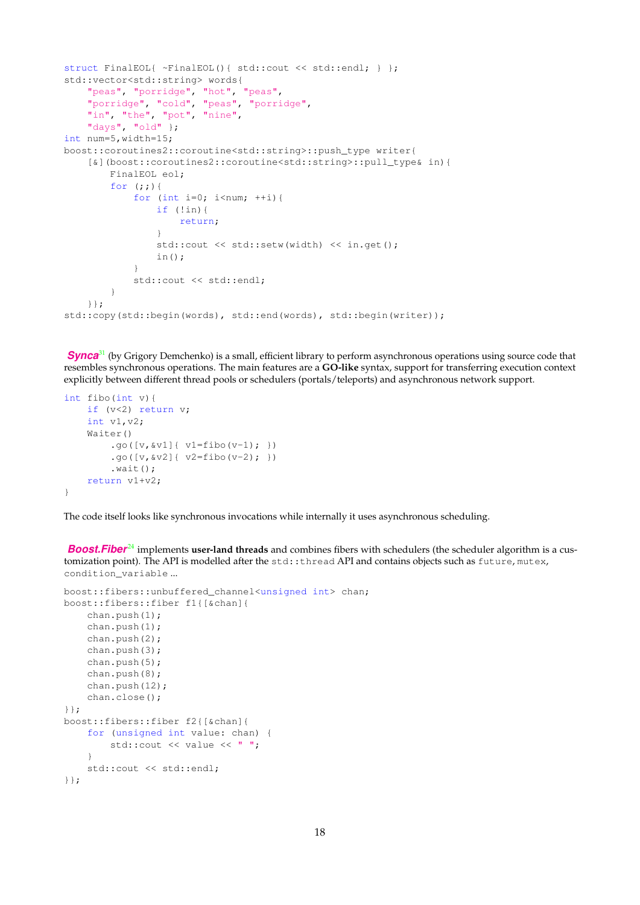```
struct FinalEOL{ ~FinalEOL(){ std::cout << std::endl; } };
std::vector<std::string> words{
    "peas", "porridge", "hot", "peas",
    "porridge", "cold", "peas", "porridge",
    "in", "the", "pot", "nine",
    "days", "old" };
int num=5,width=15;
boost::coroutines2::coroutine<std::string>::push_type writer{
    [&](boost::coroutines2::coroutine<std::string>::pull_type& in){
        FinalEOL eol;
        for (i; j) {
            for (int i=0; i<num; ++i){
                if (!in){
                    return;
                }
                std::cout << std::setw(width) << in.get();
                in();
            }
            std::cout << std::endl;
        }
    }};
std::copy(std::begin(words), std::end(words), std::begin(writer));
```
**[Synca](https://github.com/gridem/Synca)**<sup>[31](#page-28-10)</sup> (by Grigory Demchenko) is a small, efficient library to perform asynchronous operations using source code that resembles synchronous operations. The main features are a **GO-like** syntax, support for transferring execution context explicitly between different thread pools or schedulers (portals/teleports) and asynchronous network support.

```
int fibo(int v){
    if (v<2) return v;
    int v1,v2;
    Waiter()
        .go([v, \& v1]{ v1=fibo(v-1); })
        .go([v, \& v2]{ v2=fibo(v-2); })
        .wait():
    return v1+v2;
}
```
The code itself looks like synchronous invocations while internally it uses asynchronous scheduling.

**[Boost.Fiber](http://www.boost.org/doc/libs/release/libs/fiber/doc/html/index.html)**<sup>[24](#page-28-7)</sup> implements **user-land threads** and combines fibers with schedulers (the scheduler algorithm is a customization point). The API is modelled after the std::thread API and contains objects such as future, mutex, condition\_variable ...

```
boost::fibers::unbuffered_channel<unsigned int> chan;
boost::fibers::fiber f1{[&chan]{
   chan.push(1);
   chan.push(1);
   chan.push(2);
   chan.push(3);
   chan.push(5);
   chan.push(8);
   chan.push(12);
   chan.close();
}};
boost::fibers::fiber f2{[&chan]{
    for (unsigned int value: chan) {
        std::cout << value << " ";
    }
    std::cout << std::endl;
}};
```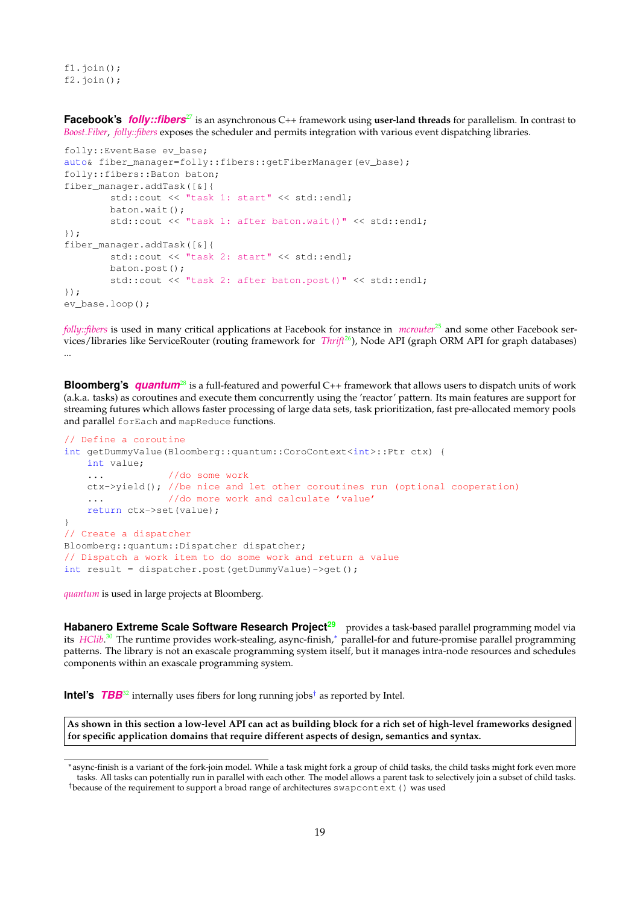fl.join(); f2.join();

**Facebook's** *[folly::fibers](https://github.com/facebook/folly/tree/master/folly/fibers)<sup>[27](#page-28-11)</sup> is an asynchronous C++ framework using user-land threads for parallelism. In contrast to [Boost.Fiber](http://www.boost.org/doc/libs/release/libs/fiber/doc/html/index.html)*, *[folly::fibers](https://github.com/facebook/folly/tree/master/folly/fibers)* exposes the scheduler and permits integration with various event dispatching libraries.

```
folly::EventBase ev_base;
auto& fiber_manager=folly::fibers::getFiberManager(ev_base);
folly::fibers::Baton baton;
fiber_manager.addTask([&]{
        std::cout << "task 1: start" << std::endl;
        baton.wait();
        std::cout << "task 1: after baton.wait()" << std::endl;
});
fiber_manager.addTask([&]{
        std::cout << "task 2: start" << std::endl;
        baton.post();
        std::cout << "task 2: after baton.post()" << std::endl;
});
ev_base.loop();
```
*[folly::fibers](https://github.com/facebook/folly/tree/master/folly/fibers)* is used in many critical applications at Facebook for instance in *[mcrouter](https://code.facebook.com/posts/296442737213493/introducing-mcrouter-a-memcached-protocol-router-for-scaling-memcached-deployments)*<sup>[25](#page-28-12)</sup> and some other Facebook services/libraries like ServiceRouter (routing framework for *[Thrift](https://github.com/facebook/fbthrift)<sup>[26](#page-28-13)</sup>*), Node API (graph ORM API for graph databases) ...

**Bloomberg's** *[quantum](https://github.com/bloomberg/quantum)*[28](#page-28-14) is a full-featured and powerful C++ framework that allows users to dispatch units of work (a.k.a. tasks) as coroutines and execute them concurrently using the 'reactor' pattern. Its main features are support for streaming futures which allows faster processing of large data sets, task prioritization, fast pre-allocated memory pools and parallel forEach and mapReduce functions.

```
// Define a coroutine
int getDummyValue(Bloomberg::quantum::CoroContext<int>::Ptr ctx) {
   int value;
   ... //do some work
   ctx->yield(); //be nice and let other coroutines run (optional cooperation)
   ... //do more work and calculate 'value'
   return ctx->set(value);
}
// Create a dispatcher
Bloomberg::quantum::Dispatcher dispatcher;
// Dispatch a work item to do some work and return a value
int result = dispatcher.post(getDummyValue)->get();
```
*[quantum](https://github.com/bloomberg/quantum)* is used in large projects at Bloomberg.

Habanero Extreme Scale Software Research Project<sup>[29](#page-28-15)</sup> provides a task-based parallel programming model via its *[HClib](https://github.com/habanero-rice/hclib)*. [30](#page-28-16) The runtime provides work-stealing, async-finish,[∗](#page-18-1) parallel-for and future-promise parallel programming patterns. The library is not an exascale programming system itself, but it manages intra-node resources and schedules components within an exascale programming system.

<span id="page-18-0"></span>**Intel's** *[TBB](https://github.com/intel/tbb)*[32](#page-28-17) internally uses fibers for long running jobs[†](#page-18-2) as reported by Intel.

**As shown in this section a low-level API can act as building block for a rich set of high-level frameworks designed for specific application domains that require different aspects of design, semantics and syntax.**

<span id="page-18-1"></span><sup>∗</sup>async-finish is a variant of the fork-join model. While a task might fork a group of child tasks, the child tasks might fork even more tasks. All tasks can potentially run in parallel with each other. The model allows a parent task to selectively join a subset of child tasks.

<span id="page-18-2"></span><sup>†</sup>because of the requirement to support a broad range of architectures [swapcontext\(\)](https://github.com/intel/tbb/blob/tbb_2020/src/tbb/co_context.h#L190) was used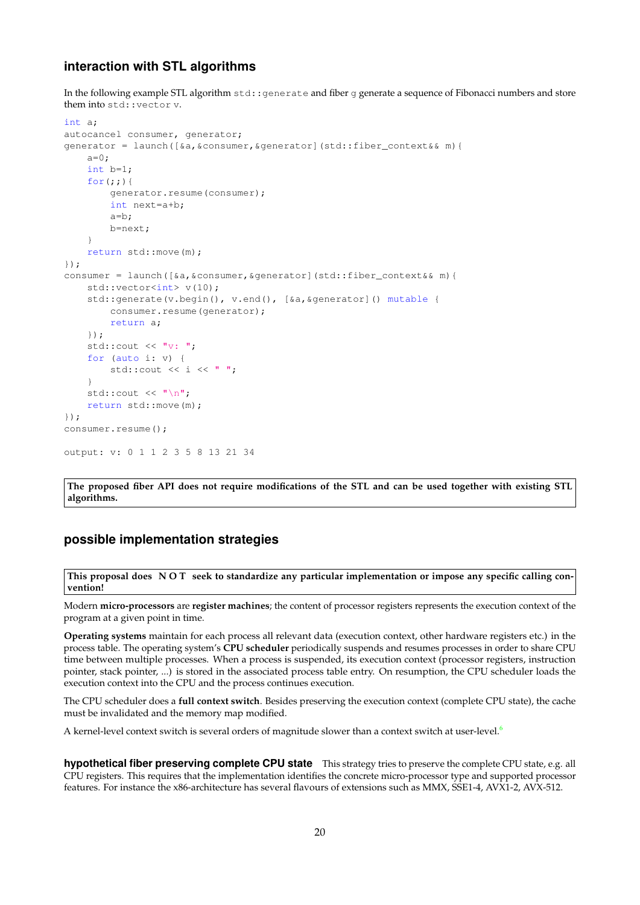## **interaction with STL algorithms**

In the following example STL algorithm std: generate and fiber g generate a sequence of Fibonacci numbers and store them into std::vector v.

```
int a;
autocancel consumer, generator;
generator = launch([&a,&consumer,&generator](std::fiber_context&& m){
   a=0:
    int b=1;
    for(j;))generator.resume(consumer);
        int next=a+b;
        a=b;
       b=next;
    }
    return std::move(m);
});
consumer = launch([&a,&consumer,&generator](std::fiber_context&& m){
    std::vector<int> v(10);
    std::generate(v.begin(), v.end(), [&a, &generator]() mutable {
       consumer.resume(generator);
       return a;
   });
    std::cout << "v: ";
    for (auto i: v) {
        std::cout << i << " ";
    }
    std::cout << "\n";
    return std::move(m);
});
consumer.resume();
output: v: 0 1 1 2 3 5 8 13 21 34
```
<span id="page-19-0"></span>**The proposed fiber API does not require modifications of the STL and can be used together with existing STL algorithms.**

## **possible implementation strategies**

**This proposal does N O T seek to standardize any particular implementation or impose any specific calling convention!**

Modern **micro-processors** are **register machines**; the content of processor registers represents the execution context of the program at a given point in time.

**Operating systems** maintain for each process all relevant data (execution context, other hardware registers etc.) in the process table. The operating system's **CPU scheduler** periodically suspends and resumes processes in order to share CPU time between multiple processes. When a process is suspended, its execution context (processor registers, instruction pointer, stack pointer, ...) is stored in the associated process table entry. On resumption, the CPU scheduler loads the execution context into the CPU and the process continues execution.

The CPU scheduler does a **full context switch**. Besides preserving the execution context (complete CPU state), the cache must be invalidated and the memory map modified.

A kernel-level context switch is several orders of magnitude slower than a context switch at user-level.<sup>[6](#page-28-18)</sup>

**hypothetical fiber preserving complete CPU state** This strategy tries to preserve the complete CPU state, e.g. all CPU registers. This requires that the implementation identifies the concrete micro-processor type and supported processor features. For instance the x86-architecture has several flavours of extensions such as MMX, SSE1-4, AVX1-2, AVX-512.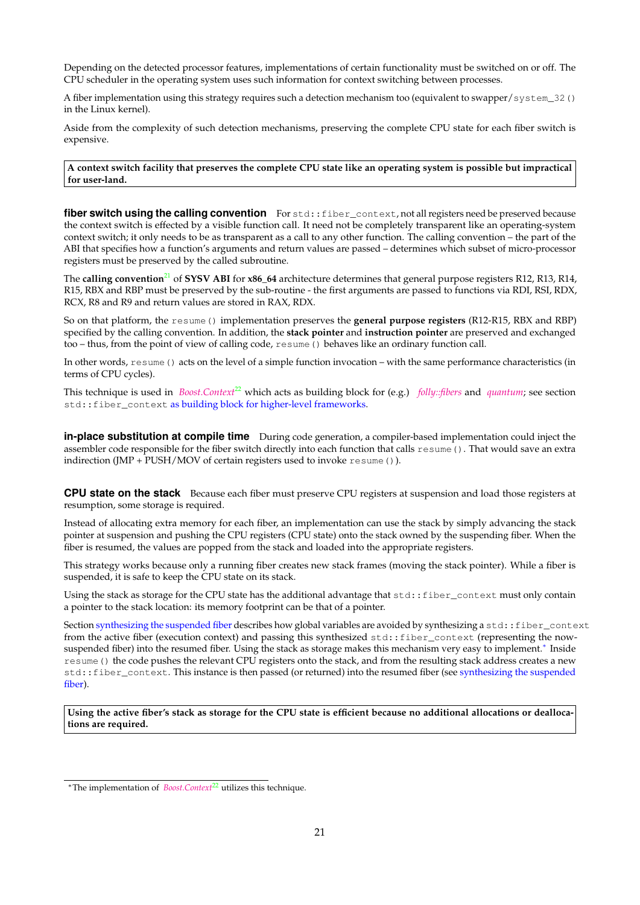Depending on the detected processor features, implementations of certain functionality must be switched on or off. The CPU scheduler in the operating system uses such information for context switching between processes.

A fiber implementation using this strategy requires such a detection mechanism too (equivalent to swapper/system\_32() in the Linux kernel).

Aside from the complexity of such detection mechanisms, preserving the complete CPU state for each fiber switch is expensive.

**A context switch facility that preserves the complete CPU state like an operating system is possible but impractical for user-land.**

<span id="page-20-2"></span>**fiber switch using the calling convention** For std::fiber\_context, not all registers need be preserved because the context switch is effected by a visible function call. It need not be completely transparent like an operating-system context switch; it only needs to be as transparent as a call to any other function. The calling convention – the part of the ABI that specifies how a function's arguments and return values are passed – determines which subset of micro-processor registers must be preserved by the called subroutine.

The **calling convention**[21](#page-28-19) of **SYSV ABI** for **x86\_64** architecture determines that general purpose registers R12, R13, R14, R15, RBX and RBP must be preserved by the sub-routine - the first arguments are passed to functions via RDI, RSI, RDX, RCX, R8 and R9 and return values are stored in RAX, RDX.

So on that platform, the resume() implementation preserves the **general purpose registers** (R12-R15, RBX and RBP) specified by the calling convention. In addition, the **stack pointer** and **instruction pointer** are preserved and exchanged too – thus, from the point of view of calling code, resume() behaves like an ordinary function call.

In other words, resume() acts on the level of a simple function invocation – with the same performance characteristics (in terms of CPU cycles).

This technique is used in *[Boost.Context](http://www.boost.org/doc/libs/release/libs/context/doc/html/index.html)*<sup>[22](#page-28-8)</sup> which acts as building block for (e.g.) *[folly::fibers](https://github.com/facebook/folly/tree/master/folly/fibers)* and *[quantum](https://github.com/bloomberg/quantum)*; see section std::fiber\_context [as building block for higher-level frameworks.](#page-16-1)

**in-place substitution at compile time** During code generation, a compiler-based implementation could inject the assembler code responsible for the fiber switch directly into each function that calls resume(). That would save an extra indirection (JMP + PUSH/MOV of certain registers used to invoke resume()).

<span id="page-20-0"></span>**CPU state on the stack** Because each fiber must preserve CPU registers at suspension and load those registers at resumption, some storage is required.

Instead of allocating extra memory for each fiber, an implementation can use the stack by simply advancing the stack pointer at suspension and pushing the CPU registers (CPU state) onto the stack owned by the suspending fiber. When the fiber is resumed, the values are popped from the stack and loaded into the appropriate registers.

This strategy works because only a running fiber creates new stack frames (moving the stack pointer). While a fiber is suspended, it is safe to keep the CPU state on its stack.

Using the stack as storage for the CPU state has the additional advantage that std::fiber\_context must only contain a pointer to the stack location: its memory footprint can be that of a pointer.

Section [synthesizing the suspended fiber](#page-9-2) describes how global variables are avoided by synthesizing a std::fiber\_context from the active fiber (execution context) and passing this synthesized std::fiber\_context (representing the now-suspended fiber) into the resumed fiber. Using the stack as storage makes this mechanism very easy to implement.<sup>[∗](#page-20-1)</sup> Inside resume() the code pushes the relevant CPU registers onto the stack, and from the resulting stack address creates a new std::fiber\_context. This instance is then passed (or returned) into the resumed fiber (see [synthesizing the suspended](#page-9-2) [fiber\)](#page-9-2).

**Using the active fiber's stack as storage for the CPU state is efficient because no additional allocations or deallocations are required.**

<span id="page-20-1"></span><sup>∗</sup>The implementation of *[Boost.Context](http://www.boost.org/doc/libs/release/libs/context/doc/html/index.html)*[22](#page-28-8) utilizes this technique.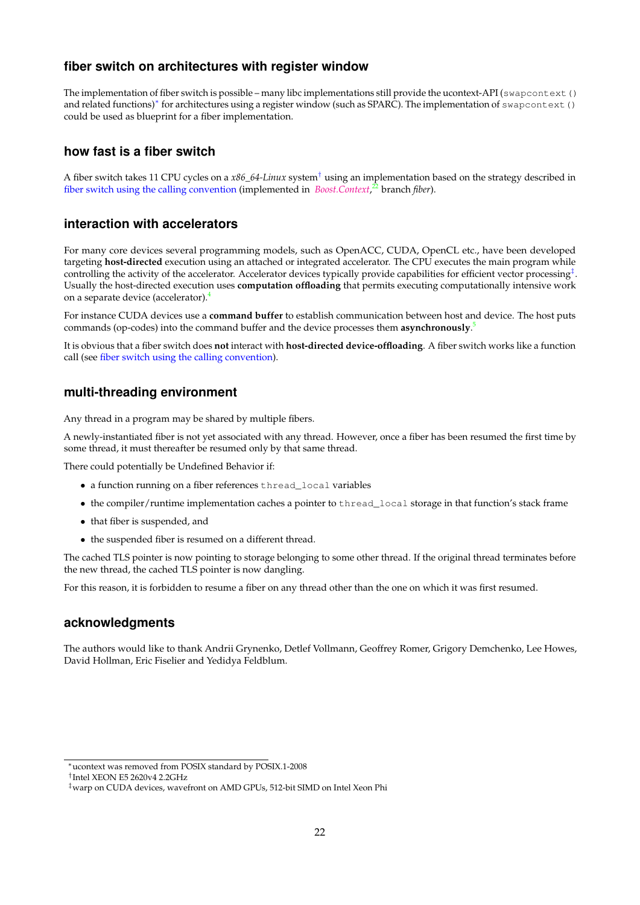## <span id="page-21-0"></span>**fiber switch on architectures with register window**

The implementation of fiber switch is possible – many libc implementations still provide the ucontext-API (swapcontext() and related functions)<sup>\*</sup> for architectures using a register window (such as SPARC). The implementation of swapcontext() could be used as blueprint for a fiber implementation.

## <span id="page-21-1"></span>**how fast is a fiber switch**

A fiber switch takes 11 CPU cycles on a *x86\_64-Linux* system[†](#page-21-6) using an implementation based on the strategy described in [fiber switch using the calling convention](#page-20-2) (implemented in *[Boost.Context](http://www.boost.org/doc/libs/release/libs/context/doc/html/index.html)*, [22](#page-28-8) branch *fiber*).

## <span id="page-21-2"></span>**interaction with accelerators**

For many core devices several programming models, such as OpenACC, CUDA, OpenCL etc., have been developed targeting **host-directed** execution using an attached or integrated accelerator. The CPU executes the main program while controlling the activity of the accelerator. Accelerator devices typically provide capabilities for efficient vector processing[‡](#page-21-7) . Usually the host-directed execution uses **computation offloading** that permits executing computationally intensive work on a separate device (accelerator).[4](#page-28-20)

For instance CUDA devices use a **command buffer** to establish communication between host and device. The host puts commands (op-codes) into the command buffer and the device processes them **asynchronously**. [5](#page-28-21)

It is obvious that a fiber switch does **not** interact with **host-directed device-offloading**. A fiber switch works like a function call (see [fiber switch using the calling convention\)](#page-20-2).

## <span id="page-21-3"></span>**multi-threading environment**

Any thread in a program may be shared by multiple fibers.

A newly-instantiated fiber is not yet associated with any thread. However, once a fiber has been resumed the first time by some thread, it must thereafter be resumed only by that same thread.

There could potentially be Undefined Behavior if:

- a function running on a fiber references thread\_local variables
- the compiler/runtime implementation caches a pointer to thread local storage in that function's stack frame
- that fiber is suspended, and
- the suspended fiber is resumed on a different thread.

The cached TLS pointer is now pointing to storage belonging to some other thread. If the original thread terminates before the new thread, the cached TLS pointer is now dangling.

For this reason, it is forbidden to resume a fiber on any thread other than the one on which it was first resumed.

## <span id="page-21-4"></span>**acknowledgments**

The authors would like to thank Andrii Grynenko, Detlef Vollmann, Geoffrey Romer, Grigory Demchenko, Lee Howes, David Hollman, Eric Fiselier and Yedidya Feldblum.

<span id="page-21-5"></span><sup>∗</sup>ucontext was removed from POSIX standard by POSIX.1-2008

<span id="page-21-6"></span><sup>†</sup> Intel XEON E5 2620v4 2.2GHz

<span id="page-21-7"></span><sup>‡</sup>warp on CUDA devices, wavefront on AMD GPUs, 512-bit SIMD on Intel Xeon Phi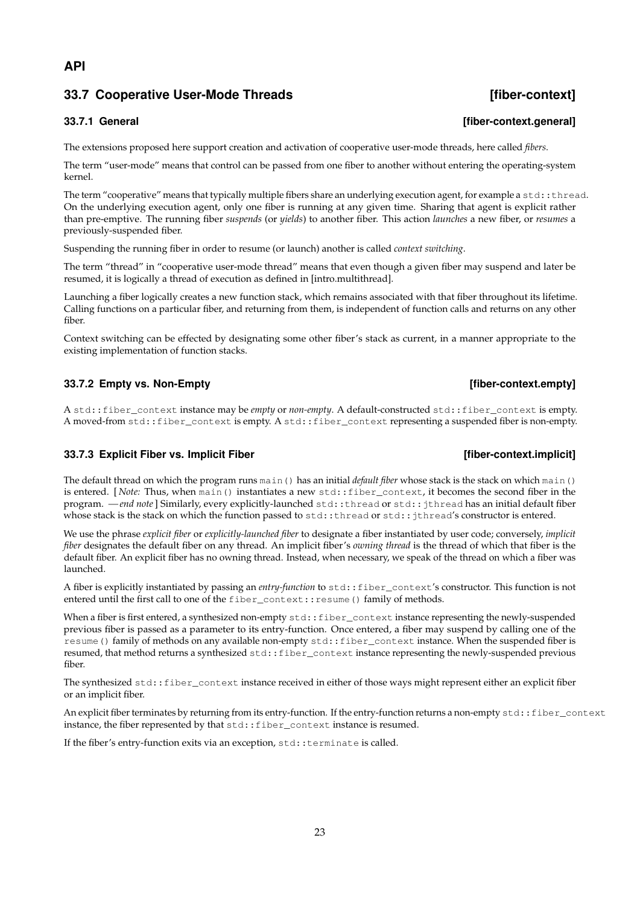## **API**

## <span id="page-22-0"></span>**33.7 Cooperative User-Mode Threads [fiber-context]**

The extensions proposed here support creation and activation of cooperative user-mode threads, here called *fibers*.

The term "user-mode" means that control can be passed from one fiber to another without entering the operating-system kernel.

The term "cooperative" means that typically multiple fibers share an underlying execution agent, for example a  $std$ :  $:t$ hread. On the underlying execution agent, only one fiber is running at any given time. Sharing that agent is explicit rather than pre-emptive. The running fiber *suspends* (or *yields*) to another fiber. This action *launches* a new fiber, or *resumes* a previously-suspended fiber.

Suspending the running fiber in order to resume (or launch) another is called *context switching*.

The term "thread" in "cooperative user-mode thread" means that even though a given fiber may suspend and later be resumed, it is logically a thread of execution as defined in [intro.multithread].

Launching a fiber logically creates a new function stack, which remains associated with that fiber throughout its lifetime. Calling functions on a particular fiber, and returning from them, is independent of function calls and returns on any other fiber.

Context switching can be effected by designating some other fiber's stack as current, in a manner appropriate to the existing implementation of function stacks.

## <span id="page-22-2"></span>**33.7.2 Empty vs. Non-Empty** *CONSERVITY CONSERVITY CONSERVITY CONSERVITY CONSERVITY CONSERVITY CONSERVITY CONSERVITY CONSERVITY CONSERVITY CONSERVITY CONSERVITY CONSERVITY*

A std::fiber\_context instance may be *empty* or *non-empty*. A default-constructed std::fiber\_context is empty. A moved-from std::fiber\_context is empty. A std::fiber\_context representing a suspended fiber is non-empty.

#### <span id="page-22-3"></span>**33.7.3 Explicit Fiber vs. Implicit Fiber [67] The context.implicit] [fiber-context.implicit]**

The default thread on which the program runs main() has an initial *default fiber* whose stack is the stack on which main() is entered. [*Note:* Thus, when main () instantiates a new std::fiber\_context, it becomes the second fiber in the program. *— end note*] Similarly, every explicitly-launched std::thread or std::jthread has an initial default fiber whose stack is the stack on which the function passed to std::thread or std::jthread's constructor is entered.

We use the phrase *explicit fiber* or *explicitly-launched fiber* to designate a fiber instantiated by user code; conversely, *implicit fiber* designates the default fiber on any thread. An implicit fiber's *owning thread* is the thread of which that fiber is the default fiber. An explicit fiber has no owning thread. Instead, when necessary, we speak of the thread on which a fiber was launched.

A fiber is explicitly instantiated by passing an *entry-function* to std::fiber\_context's constructor. This function is not entered until the first call to one of the fiber\_context::resume() family of methods.

When a fiber is first entered, a synthesized non-empty std::fiber\_context instance representing the newly-suspended previous fiber is passed as a parameter to its entry-function. Once entered, a fiber may suspend by calling one of the resume() family of methods on any available non-empty std::fiber\_context instance. When the suspended fiber is resumed, that method returns a synthesized std::fiber\_context instance representing the newly-suspended previous fiber.

The synthesized std::fiber\_context instance received in either of those ways might represent either an explicit fiber or an implicit fiber.

An explicit fiber terminates by returning from its entry-function. If the entry-function returns a non-empty std::fiber\_context instance, the fiber represented by that  $std::fiber\_context$  instance is resumed.

If the fiber's entry-function exits via an exception, std::terminate is called.

## <span id="page-22-1"></span>**33.7.1 General [fiber-context.general]**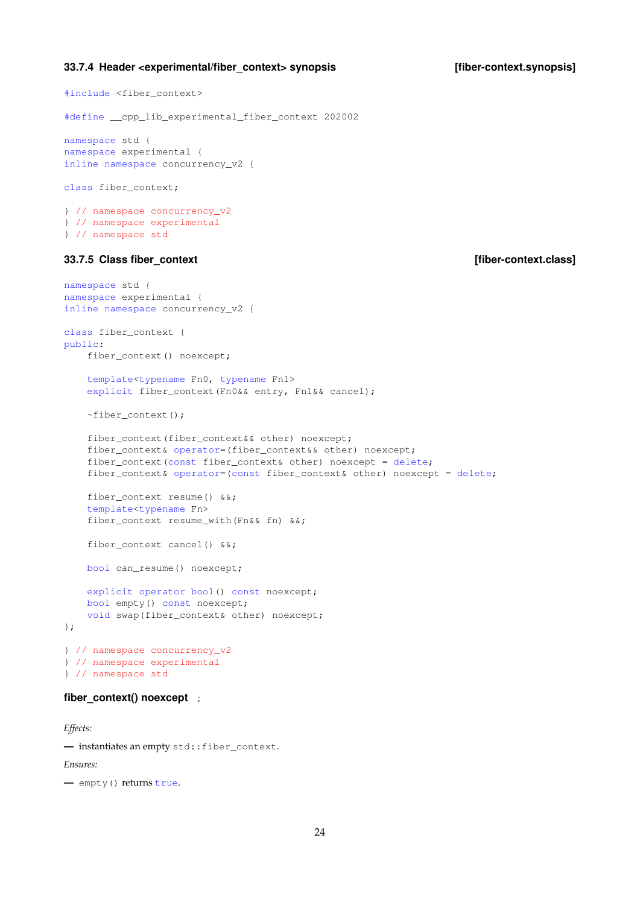#### <span id="page-23-0"></span>**33.7.4 Header <experimental/fiber\_context> synopsis [fiber-context.synopsis]**

```
#include <fiber_context>
#define __cpp_lib_experimental_fiber_context 202002
namespace std {
namespace experimental {
inline namespace concurrency_v2 {
class fiber_context;
} // namespace concurrency_v2
} // namespace experimental
} // namespace std
33.7.5 Class fiber_context [fiber-context.class]
namespace std {
namespace experimental {
inline namespace concurrency_v2 {
class fiber_context {
public:
   fiber_context() noexcept;
   template<typename Fn0, typename Fn1>
   explicit fiber_context(Fn0&& entry, Fn1&& cancel);
   ~fiber_context();
   fiber_context(fiber_context&& other) noexcept;
   fiber_context& operator=(fiber_context&& other) noexcept;
   fiber_context(const fiber_context& other) noexcept = delete;
   fiber_context& operator=(const fiber_context& other) noexcept = delete;
   fiber_context resume() &&;
   template<typename Fn>
   fiber_context resume_with(Fn&& fn) &&;
   fiber_context cancel() &&;
   bool can_resume() noexcept;
   explicit operator bool() const noexcept;
   bool empty() const noexcept;
   void swap(fiber_context& other) noexcept;
};
} // namespace concurrency_v2
} // namespace experimental
} // namespace std
```
#### <span id="page-23-2"></span>fiber context() noexcept ;

*Effects:*

**—** instantiates an empty std::fiber\_context.

*Ensures:*

**—** empty() returns true.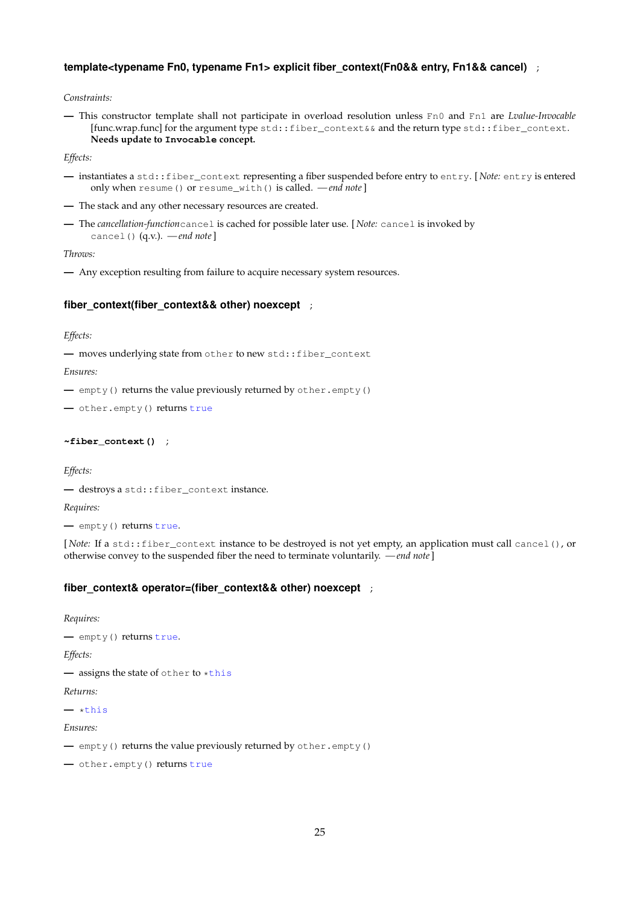## **template<typename Fn0, typename Fn1> explicit fiber\_context(Fn0&& entry, Fn1&& cancel)** ;

*Constraints:*

**—** This constructor template shall not participate in overload resolution unless Fn0 and Fn1 are *Lvalue-Invocable* [func.wrap.func] for the argument type std::fiber\_context&& and the return type std::fiber\_context. **Needs update to Invocable concept.**

*Effects:*

- **—** instantiates a std::fiber\_context representing a fiber suspended before entry to entry. [ *Note:* entry is entered only when resume() or resume\_with() is called. *— end note*]
- **—** The stack and any other necessary resources are created.
- **—** The *cancellation-function*cancel is cached for possible later use. [ *Note:* cancel is invoked by cancel() (q.v.). *— end note*]

*Throws:*

**—** Any exception resulting from failure to acquire necessary system resources.

#### **fiber\_context(fiber\_context&& other) noexcept** ;

*Effects:*

**—** moves underlying state from other to new std::fiber\_context

*Ensures:*

**—** empty() returns the value previously returned by other.empty()

**—** other.empty() returns true

#### **~fiber\_context()** ;

*Effects:*

**—** destroys a std::fiber\_context instance.

*Requires:*

**—** empty() returns true.

[*Note:* If a std::fiber\_context instance to be destroyed is not yet empty, an application must call cancel(), or otherwise convey to the suspended fiber the need to terminate voluntarily. *— end note*]

#### **fiber\_context& operator=(fiber\_context&& other) noexcept** ;

*Requires:*

**—** empty() returns true.

*Effects:*

**—** assigns the state of other to \*this

#### *Returns:*

**—** \*this

*Ensures:*

**—** empty() returns the value previously returned by other.empty()

**—** other.empty() returns true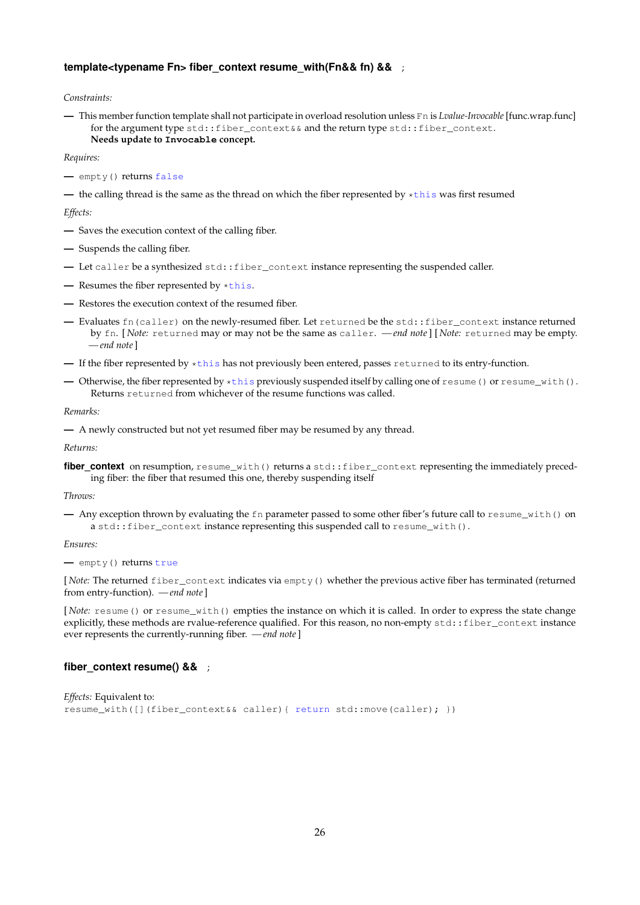#### **template<typename Fn> fiber context resume with(Fn&& fn) &&** ;

*Constraints:*

**—** This member function template shall not participate in overload resolution unless Fn is *Lvalue-Invocable* [func.wrap.func] for the argument type std::fiber\_context&& and the return type std::fiber\_context. **Needs update to Invocable concept.**

#### *Requires:*

**—** empty() returns false

**—** the calling thread is the same as the thread on which the fiber represented by \*this was first resumed

*Effects:*

- **—** Saves the execution context of the calling fiber.
- **—** Suspends the calling fiber.
- **—** Let caller be a synthesized std::fiber\_context instance representing the suspended caller.
- **—** Resumes the fiber represented by \*this.
- **—** Restores the execution context of the resumed fiber.
- **—** Evaluates fn(caller) on the newly-resumed fiber. Let returned be the std::fiber\_context instance returned by fn. [ *Note:* returned may or may not be the same as caller. *— end note*] [ *Note:* returned may be empty. *— end note*]
- **—** If the fiber represented by \*this has not previously been entered, passes returned to its entry-function.
- **—** Otherwise, the fiber represented by \*this previously suspended itself by calling one of resume() or resume\_with(). Returns returned from whichever of the resume functions was called.

*Remarks:*

```
— A newly constructed but not yet resumed fiber may be resumed by any thread.
```
*Returns:*

fiber\_context on resumption, resume\_with() returns a std::fiber\_context representing the immediately preceding fiber: the fiber that resumed this one, thereby suspending itself

#### *Throws:*

**—** Any exception thrown by evaluating the fn parameter passed to some other fiber's future call to resume\_with() on a std::fiber\_context instance representing this suspended call to resume\_with().

*Ensures:*

**—** empty() returns true

[ *Note:* The returned fiber\_context indicates via empty() whether the previous active fiber has terminated (returned from entry-function). *— end note*]

[*Note:* resume() or resume\_with() empties the instance on which it is called. In order to express the state change explicitly, these methods are rvalue-reference qualified. For this reason, no non-empty std::fiber\_context instance ever represents the currently-running fiber. *— end note*]

#### **fiber\_context resume() &&** ;

```
Effects: Equivalent to:
resume_with([](fiber_context&& caller){ return std::move(caller); })
```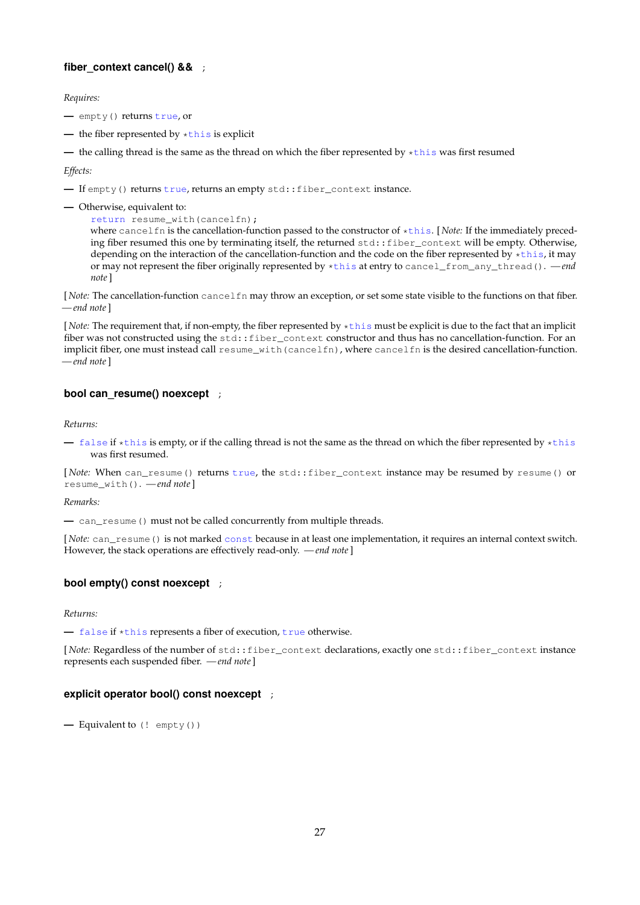## **fiber\_context cancel() &&** ;

*Requires:*

- **—** empty() returns true, or
- **—** the fiber represented by \*this is explicit
- **—** the calling thread is the same as the thread on which the fiber represented by \*this was first resumed

*Effects:*

- **—** If empty() returns true, returns an empty std::fiber\_context instance.
- **—** Otherwise, equivalent to:
	- return resume\_with(cancelfn);

where cancelfn is the cancellation-function passed to the constructor of \*this. [ *Note:* If the immediately preceding fiber resumed this one by terminating itself, the returned std::fiber\_context will be empty. Otherwise, depending on the interaction of the cancellation-function and the code on the fiber represented by \*this, it may or may not represent the fiber originally represented by \*this at entry to cancel\_from\_any\_thread(). *— end note*]

[*Note:* The cancellation-function cancelfn may throw an exception, or set some state visible to the functions on that fiber. *— end note*]

[*Note:* The requirement that, if non-empty, the fiber represented by \*this must be explicit is due to the fact that an implicit fiber was not constructed using the std: : fiber context constructor and thus has no cancellation-function. For an implicit fiber, one must instead call resume\_with(cancelfn), where cancelfn is the desired cancellation-function. *— end note*]

### **bool can resume() noexcept** ;

*Returns:*

**—** false if \*this is empty, or if the calling thread is not the same as the thread on which the fiber represented by \*this was first resumed.

[*Note:* When can\_resume() returns true, the std::fiber\_context instance may be resumed by resume() or resume\_with(). *— end note*]

*Remarks:*

**—** can\_resume() must not be called concurrently from multiple threads.

[*Note:* can\_resume() is not marked const because in at least one implementation, it requires an internal context switch. However, the stack operations are effectively read-only. *— end note*]

## **bool empty() const noexcept** ;

*Returns:*

**—** false if \*this represents a fiber of execution, true otherwise.

[*Note:* Regardless of the number of std::fiber\_context declarations, exactly one std::fiber\_context instance represents each suspended fiber. *— end note*]

#### **explicit operator bool() const noexcept** ;

**—** Equivalent to (! empty())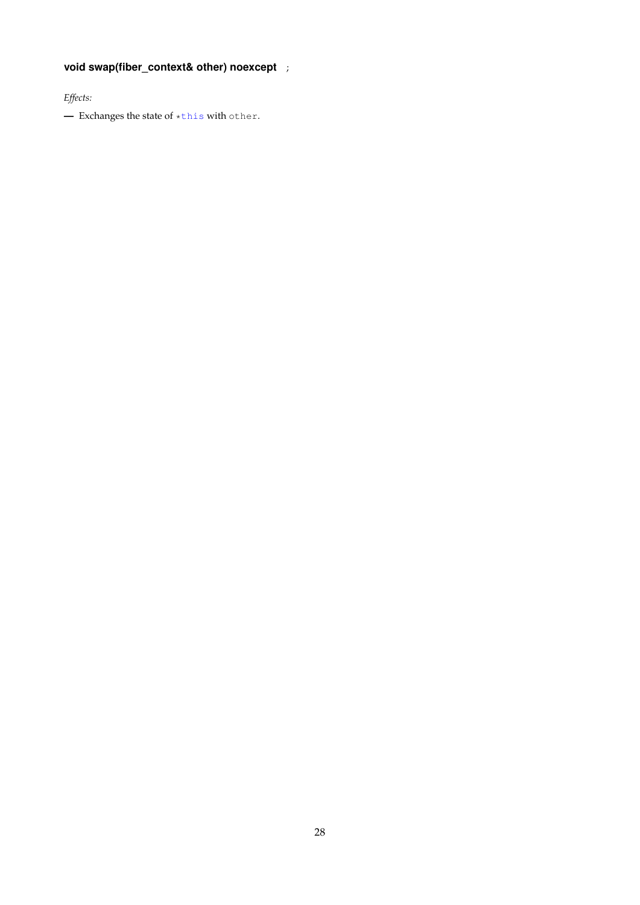# <span id="page-27-0"></span>**void swap(fiber\_context& other) noexcept** ;

*Effects:*

**—** Exchanges the state of \*this with other.